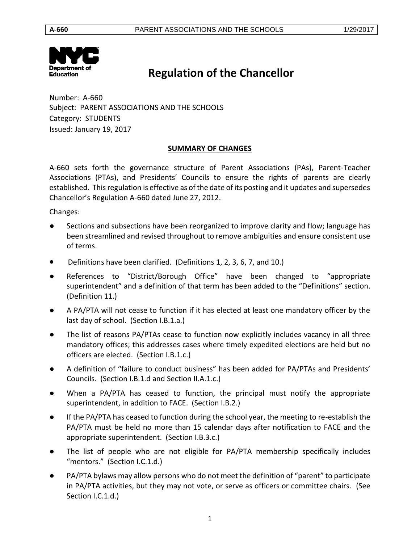

# **Regulation of the Chancellor**

Number: A-660 Subject: PARENT ASSOCIATIONS AND THE SCHOOLS Category: STUDENTS Issued: January 19, 2017

# **SUMMARY OF CHANGES**

A-660 sets forth the governance structure of Parent Associations (PAs), Parent-Teacher Associations (PTAs), and Presidents' Councils to ensure the rights of parents are clearly established. This regulation is effective as of the date of its posting and it updates and supersedes Chancellor's Regulation A-660 dated June 27, 2012.

Changes:

- Sections and subsections have been reorganized to improve clarity and flow; language has been streamlined and revised throughout to remove ambiguities and ensure consistent use of terms.
- Definitions have been clarified. (Definitions 1, 2, 3, 6, 7, and 10.)
- References to "District/Borough Office" have been changed to "appropriate superintendent" and a definition of that term has been added to the "Definitions" section. (Definition 11.)
- A PA/PTA will not cease to function if it has elected at least one mandatory officer by the last day of school. (Section I.B.1.a.)
- The list of reasons PA/PTAs cease to function now explicitly includes vacancy in all three mandatory offices; this addresses cases where timely expedited elections are held but no officers are elected. (Section I.B.1.c.)
- A definition of "failure to conduct business" has been added for PA/PTAs and Presidents' Councils. (Section I.B.1.d and Section II.A.1.c.)
- When a PA/PTA has ceased to function, the principal must notify the appropriate superintendent, in addition to FACE. (Section I.B.2.)
- If the PA/PTA has ceased to function during the school year, the meeting to re-establish the PA/PTA must be held no more than 15 calendar days after notification to FACE and the appropriate superintendent. (Section I.B.3.c.)
- The list of people who are not eligible for PA/PTA membership specifically includes "mentors." (Section I.C.1.d.)
- PA/PTA bylaws may allow persons who do not meet the definition of "parent" to participate in PA/PTA activities, but they may not vote, or serve as officers or committee chairs. (See Section I.C.1.d.)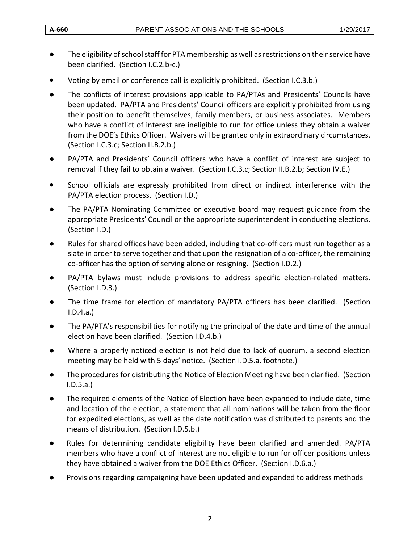- The eligibility of school staff for PTA membership as well as restrictions on their service have been clarified. (Section I.C.2.b-c.)
- Voting by email or conference call is explicitly prohibited. (Section I.C.3.b.)
- The conflicts of interest provisions applicable to PA/PTAs and Presidents' Councils have been updated. PA/PTA and Presidents' Council officers are explicitly prohibited from using their position to benefit themselves, family members, or business associates. Members who have a conflict of interest are ineligible to run for office unless they obtain a waiver from the DOE's Ethics Officer. Waivers will be granted only in extraordinary circumstances. (Section I.C.3.c; Section II.B.2.b.)
- PA/PTA and Presidents' Council officers who have a conflict of interest are subject to removal if they fail to obtain a waiver. (Section I.C.3.c; Section II.B.2.b; Section IV.E.)
- School officials are expressly prohibited from direct or indirect interference with the PA/PTA election process. (Section I.D.)
- The PA/PTA Nominating Committee or executive board may request guidance from the appropriate Presidents' Council or the appropriate superintendent in conducting elections. (Section I.D.)
- Rules for shared offices have been added, including that co-officers must run together as a slate in order to serve together and that upon the resignation of a co-officer, the remaining co-officer has the option of serving alone or resigning. (Section I.D.2.)
- PA/PTA bylaws must include provisions to address specific election-related matters. (Section I.D.3.)
- The time frame for election of mandatory PA/PTA officers has been clarified. (Section I.D.4.a.)
- The PA/PTA's responsibilities for notifying the principal of the date and time of the annual election have been clarified. (Section I.D.4.b.)
- Where a properly noticed election is not held due to lack of quorum, a second election meeting may be held with 5 days' notice. (Section I.D.5.a. footnote.)
- The procedures for distributing the Notice of Election Meeting have been clarified. (Section I.D.5.a.)
- The required elements of the Notice of Election have been expanded to include date, time and location of the election, a statement that all nominations will be taken from the floor for expedited elections, as well as the date notification was distributed to parents and the means of distribution. (Section I.D.5.b.)
- Rules for determining candidate eligibility have been clarified and amended. PA/PTA members who have a conflict of interest are not eligible to run for officer positions unless they have obtained a waiver from the DOE Ethics Officer. (Section I.D.6.a.)
- Provisions regarding campaigning have been updated and expanded to address methods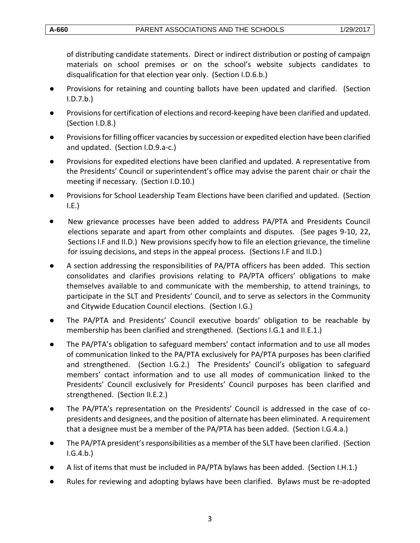of distributing candidate statements. Direct or indirect distribution or posting of campaign materials on school premises or on the school's website subjects candidates to disqualification for that election year only. (Section I.D.6.b.)

- Provisions for retaining and counting ballots have been updated and clarified. (Section I.D.7.b.)
- Provisions for certification of elections and record-keeping have been clarified and updated. (Section I.D.8.)
- Provisions for filling officer vacancies by succession or expedited election have been clarified and updated. (Section I.D.9.a-c.)
- Provisions for expedited elections have been clarified and updated. A representative from the Presidents' Council or superintendent's office may advise the parent chair or chair the meeting if necessary. (Section I.D.10.)
- Provisions for School Leadership Team Elections have been clarified and updated. (Section  $I.E.$
- New grievance processes have been added to address PA/PTA and Presidents Council elections separate and apart from other complaints and disputes. (See pages 9-10, 22, Sections I.F and II.D.) New provisions specify how to file an election grievance, the timeline for issuing decisions, and steps in the appeal process. (Sections I.F and II.D.)
- A section addressing the responsibilities of PA/PTA officers has been added. This section consolidates and clarifies provisions relating to PA/PTA officers' obligations to make themselves available to and communicate with the membership, to attend trainings, to participate in the SLT and Presidents' Council, and to serve as selectors in the Community and Citywide Education Council elections. (Section I.G.)
- The PA/PTA and Presidents' Council executive boards' obligation to be reachable by membership has been clarified and strengthened. (Sections I.G.1 and II.E.1.)
- The PA/PTA's obligation to safeguard members' contact information and to use all modes of communication linked to the PA/PTA exclusively for PA/PTA purposes has been clarified and strengthened. (Section I.G.2.) The Presidents' Council's obligation to safeguard members' contact information and to use all modes of communication linked to the Presidents' Council exclusively for Presidents' Council purposes has been clarified and strengthened. (Section II.E.2.)
- The PA/PTA's representation on the Presidents' Council is addressed in the case of copresidents and designees, and the position of alternate has been eliminated. A requirement that a designee must be a member of the PA/PTA has been added. (Section I.G.4.a.)
- The PA/PTA president's responsibilities as a member of the SLT have been clarified. (Section I.G.4.b.)
- A list of items that must be included in PA/PTA bylaws has been added. (Section I.H.1.)
- Rules for reviewing and adopting bylaws have been clarified. Bylaws must be re-adopted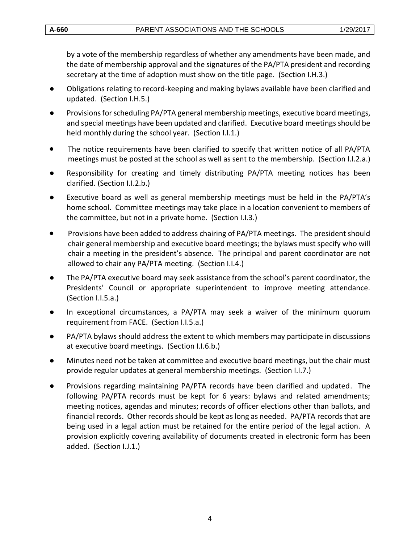by a vote of the membership regardless of whether any amendments have been made, and the date of membership approval and the signatures of the PA/PTA president and recording secretary at the time of adoption must show on the title page. (Section I.H.3.)

- Obligations relating to record-keeping and making bylaws available have been clarified and updated. (Section I.H.5.)
- Provisions for scheduling PA/PTA general membership meetings, executive board meetings, and special meetings have been updated and clarified. Executive board meetings should be held monthly during the school year. (Section I.I.1.)
- The notice requirements have been clarified to specify that written notice of all PA/PTA meetings must be posted at the school as well as sent to the membership. (Section I.I.2.a.)
- Responsibility for creating and timely distributing PA/PTA meeting notices has been clarified. (Section I.I.2.b.)
- Executive board as well as general membership meetings must be held in the PA/PTA's home school. Committee meetings may take place in a location convenient to members of the committee, but not in a private home. (Section I.I.3.)
- **•** Provisions have been added to address chairing of PA/PTA meetings. The president should chair general membership and executive board meetings; the bylaws must specify who will chair a meeting in the president's absence. The principal and parent coordinator are not allowed to chair any PA/PTA meeting. (Section I.I.4.)
- The PA/PTA executive board may seek assistance from the school's parent coordinator, the Presidents' Council or appropriate superintendent to improve meeting attendance. (Section I.I.5.a.)
- In exceptional circumstances, a PA/PTA may seek a waiver of the minimum quorum requirement from FACE. (Section I.I.5.a.)
- PA/PTA bylaws should address the extent to which members may participate in discussions at executive board meetings. (Section I.I.6.b.)
- Minutes need not be taken at committee and executive board meetings, but the chair must provide regular updates at general membership meetings. (Section I.I.7.)
- Provisions regarding maintaining PA/PTA records have been clarified and updated. The following PA/PTA records must be kept for 6 years: bylaws and related amendments; meeting notices, agendas and minutes; records of officer elections other than ballots, and financial records. Other records should be kept as long as needed. PA/PTA records that are being used in a legal action must be retained for the entire period of the legal action. A provision explicitly covering availability of documents created in electronic form has been added. (Section I.J.1.)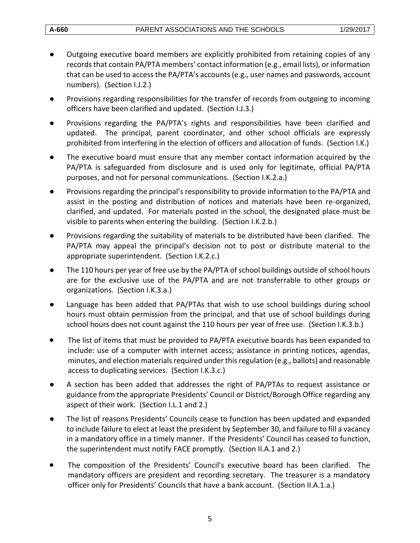- Outgoing executive board members are explicitly prohibited from retaining copies of any records that contain PA/PTA members' contact information (e.g., email lists), or information that can be used to access the PA/PTA's accounts (e.g., user names and passwords, account numbers). (Section I.J.2.)
- Provisions regarding responsibilities for the transfer of records from outgoing to incoming officers have been clarified and updated. (Section I.J.3.)
- Provisions regarding the PA/PTA's rights and responsibilities have been clarified and updated. The principal, parent coordinator, and other school officials are expressly prohibited from interfering in the election of officers and allocation of funds. (Section I.K.)
- The executive board must ensure that any member contact information acquired by the PA/PTA is safeguarded from disclosure and is used only for legitimate, official PA/PTA purposes, and not for personal communications. (Section I.K.2.a.)
- Provisions regarding the principal's responsibility to provide information to the PA/PTA and assist in the posting and distribution of notices and materials have been re-organized, clarified, and updated. For materials posted in the school, the designated place must be visible to parents when entering the building. (Section I.K.2.b.)
- Provisions regarding the suitability of materials to be distributed have been clarified. The PA/PTA may appeal the principal's decision not to post or distribute material to the appropriate superintendent. (Section I.K.2.c.)
- The 110 hours per year of free use by the PA/PTA of school buildings outside of school hours are for the exclusive use of the PA/PTA and are not transferrable to other groups or organizations. (Section I.K.3.a.)
- Language has been added that PA/PTAs that wish to use school buildings during school hours must obtain permission from the principal, and that use of school buildings during school hours does not count against the 110 hours per year of free use. (Section I.K.3.b.)
- The list of items that must be provided to PA/PTA executive boards has been expanded to include: use of a computer with internet access; assistance in printing notices, agendas, minutes, and election materials required under this regulation (e.g., ballots) and reasonable access to duplicating services. (Section I.K.3.c.)
- A section has been added that addresses the right of PA/PTAs to request assistance or guidance from the appropriate Presidents' Council or District/Borough Office regarding any aspect of their work. (Section I.L.1 and 2.)
- The list of reasons Presidents' Councils cease to function has been updated and expanded to include failure to elect at least the president by September 30, and failure to fill a vacancy in a mandatory office in a timely manner. If the Presidents' Council has ceased to function, the superintendent must notify FACE promptly. (Section II.A.1 and 2.)
- The composition of the Presidents' Council's executive board has been clarified. The mandatory officers are president and recording secretary. The treasurer is a mandatory officer only for Presidents' Councils that have a bank account. (Section II.A.1.a.)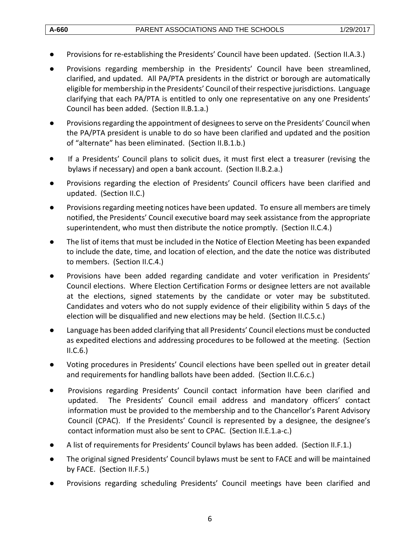- Provisions for re-establishing the Presidents' Council have been updated. (Section II.A.3.)
- Provisions regarding membership in the Presidents' Council have been streamlined, clarified, and updated. All PA/PTA presidents in the district or borough are automatically eligible for membership in the Presidents' Council of their respective jurisdictions. Language clarifying that each PA/PTA is entitled to only one representative on any one Presidents' Council has been added. (Section II.B.1.a.)
- Provisions regarding the appointment of designees to serve on the Presidents' Council when the PA/PTA president is unable to do so have been clarified and updated and the position of "alternate" has been eliminated. (Section II.B.1.b.)
- If a Presidents' Council plans to solicit dues, it must first elect a treasurer (revising the bylaws if necessary) and open a bank account. (Section II.B.2.a.)
- Provisions regarding the election of Presidents' Council officers have been clarified and updated. (Section II.C.)
- Provisions regarding meeting notices have been updated. To ensure all members are timely notified, the Presidents' Council executive board may seek assistance from the appropriate superintendent, who must then distribute the notice promptly. (Section II.C.4.)
- The list of items that must be included in the Notice of Election Meeting has been expanded to include the date, time, and location of election, and the date the notice was distributed to members. (Section II.C.4.)
- Provisions have been added regarding candidate and voter verification in Presidents' Council elections. Where Election Certification Forms or designee letters are not available at the elections, signed statements by the candidate or voter may be substituted. Candidates and voters who do not supply evidence of their eligibility within 5 days of the election will be disqualified and new elections may be held. (Section II.C.5.c.)
- Language has been added clarifying that all Presidents' Council elections must be conducted as expedited elections and addressing procedures to be followed at the meeting. (Section  $II.C.6.$
- Voting procedures in Presidents' Council elections have been spelled out in greater detail and requirements for handling ballots have been added. (Section II.C.6.c.)
- Provisions regarding Presidents' Council contact information have been clarified and updated. The Presidents' Council email address and mandatory officers' contact information must be provided to the membership and to the Chancellor's Parent Advisory Council (CPAC). If the Presidents' Council is represented by a designee, the designee's contact information must also be sent to CPAC. (Section II.E.1.a-c.)
- A list of requirements for Presidents' Council bylaws has been added. (Section II.F.1.)
- The original signed Presidents' Council bylaws must be sent to FACE and will be maintained by FACE. (Section II.F.5.)
- Provisions regarding scheduling Presidents' Council meetings have been clarified and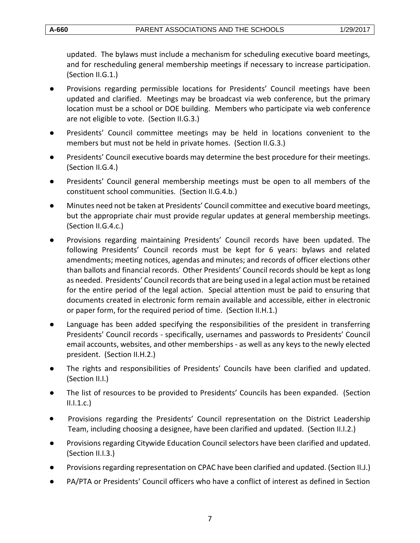updated. The bylaws must include a mechanism for scheduling executive board meetings, and for rescheduling general membership meetings if necessary to increase participation. (Section II.G.1.)

- Provisions regarding permissible locations for Presidents' Council meetings have been updated and clarified. Meetings may be broadcast via web conference, but the primary location must be a school or DOE building. Members who participate via web conference are not eligible to vote. (Section II.G.3.)
- Presidents' Council committee meetings may be held in locations convenient to the members but must not be held in private homes. (Section II.G.3.)
- Presidents' Council executive boards may determine the best procedure for their meetings. (Section II.G.4.)
- Presidents' Council general membership meetings must be open to all members of the constituent school communities. (Section II.G.4.b.)
- Minutes need not be taken at Presidents' Council committee and executive board meetings, but the appropriate chair must provide regular updates at general membership meetings. (Section II.G.4.c.)
- Provisions regarding maintaining Presidents' Council records have been updated. The following Presidents' Council records must be kept for 6 years: bylaws and related amendments; meeting notices, agendas and minutes; and records of officer elections other than ballots and financial records. Other Presidents' Council records should be kept as long as needed. Presidents' Council records that are being used in a legal action must be retained for the entire period of the legal action. Special attention must be paid to ensuring that documents created in electronic form remain available and accessible, either in electronic or paper form, for the required period of time. (Section II.H.1.)
- Language has been added specifying the responsibilities of the president in transferring Presidents' Council records - specifically, usernames and passwords to Presidents' Council email accounts, websites, and other memberships - as well as any keys to the newly elected president. (Section II.H.2.)
- The rights and responsibilities of Presidents' Councils have been clarified and updated. (Section II.I.)
- The list of resources to be provided to Presidents' Councils has been expanded. (Section  $II.I.1.c.$
- Provisions regarding the Presidents' Council representation on the District Leadership Team, including choosing a designee, have been clarified and updated. (Section II.I.2.)
- Provisions regarding Citywide Education Council selectors have been clarified and updated. (Section II.I.3.)
- Provisions regarding representation on CPAC have been clarified and updated. (Section II.J.)
- PA/PTA or Presidents' Council officers who have a conflict of interest as defined in Section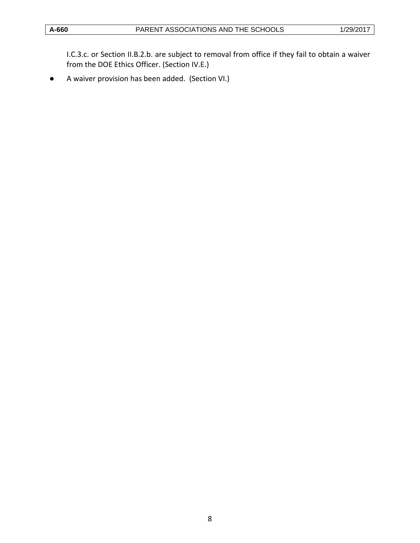I.C.3.c. or Section II.B.2.b. are subject to removal from office if they fail to obtain a waiver from the DOE Ethics Officer. (Section IV.E.)

● A waiver provision has been added. (Section VI.)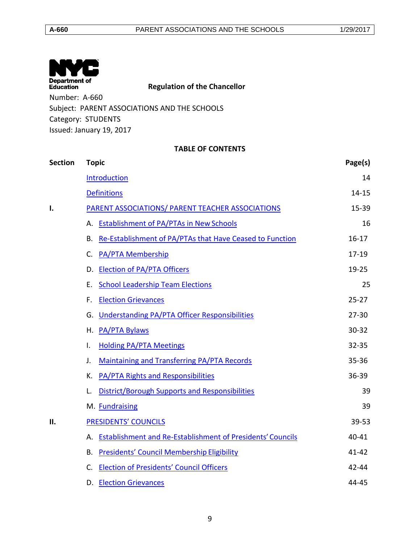| $\mathbf{N}$<br>Department of<br><b>Education</b> | <b>Regulation of the Chancellor</b> |
|---------------------------------------------------|-------------------------------------|
| Number: A-660                                     |                                     |
| Subject: PARENT ASSOCIATIONS AND THE SCHOOLS      |                                     |
| Category: STUDENTS                                |                                     |
| Issued: January 19, 2017                          |                                     |

## **TABLE OF CONTENTS**

| <b>Section</b> | <b>Topic</b>                                                  | Page(s)   |
|----------------|---------------------------------------------------------------|-----------|
|                | <b>Introduction</b>                                           | 14        |
|                | <b>Definitions</b>                                            | 14-15     |
| I.             | PARENT ASSOCIATIONS/ PARENT TEACHER ASSOCIATIONS              | 15-39     |
|                | A. Establishment of PA/PTAs in New Schools                    | 16        |
|                | B. Re-Establishment of PA/PTAs that Have Ceased to Function   | $16 - 17$ |
|                | <b>PA/PTA Membership</b><br>C.                                | $17 - 19$ |
|                | D. Election of PA/PTA Officers                                | 19-25     |
|                | <b>School Leadership Team Elections</b><br>Е.                 | 25        |
|                | <b>Election Grievances</b><br>F.                              | $25 - 27$ |
|                | <b>Understanding PA/PTA Officer Responsibilities</b><br>G.    | $27 - 30$ |
|                | H. PA/PTA Bylaws                                              | $30 - 32$ |
|                | <b>Holding PA/PTA Meetings</b><br>I.                          | $32 - 35$ |
|                | Maintaining and Transferring PA/PTA Records<br>J.             | $35 - 36$ |
|                | <b>PA/PTA Rights and Responsibilities</b><br>К.               | 36-39     |
|                | District/Borough Supports and Responsibilities<br>L.          | 39        |
|                | M. Fundraising                                                | 39        |
| П.             | PRESIDENTS' COUNCILS                                          | 39-53     |
|                | A. Establishment and Re-Establishment of Presidents' Councils | 40-41     |
|                | <b>Presidents' Council Membership Eligibility</b><br>В.       | $41 - 42$ |
|                | C. Election of Presidents' Council Officers                   | $42 - 44$ |
|                | D. Election Grievances                                        | 44-45     |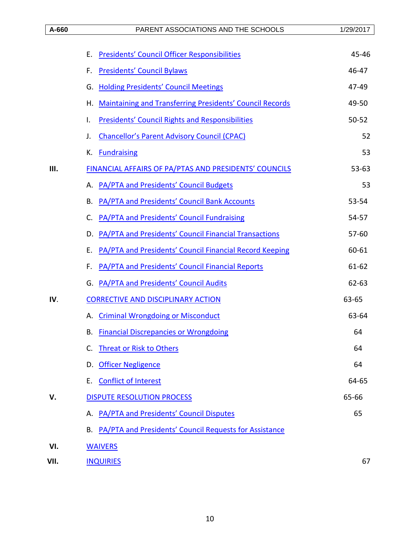|      | <b>Presidents' Council Officer Responsibilities</b><br>Ε.             | 45-46     |
|------|-----------------------------------------------------------------------|-----------|
|      | <b>Presidents' Council Bylaws</b><br>F.                               | 46-47     |
|      | <b>Holding Presidents' Council Meetings</b><br>G.                     | 47-49     |
|      | <b>Maintaining and Transferring Presidents' Council Records</b><br>Η. | 49-50     |
|      | <b>Presidents' Council Rights and Responsibilities</b><br>Τ.          | $50 - 52$ |
|      | <b>Chancellor's Parent Advisory Council (CPAC)</b><br>J.              | 52        |
|      | <b>Fundraising</b><br>К.                                              | 53        |
| Ш.   | FINANCIAL AFFAIRS OF PA/PTAS AND PRESIDENTS' COUNCILS                 | $53 - 63$ |
|      | <b>PA/PTA and Presidents' Council Budgets</b><br>А.                   | 53        |
|      | PA/PTA and Presidents' Council Bank Accounts<br>В.                    | 53-54     |
|      | PA/PTA and Presidents' Council Fundraising<br>C.                      | 54-57     |
|      | PA/PTA and Presidents' Council Financial Transactions<br>D.           | $57 - 60$ |
|      | PA/PTA and Presidents' Council Financial Record Keeping<br>Ε.         | 60-61     |
|      | PA/PTA and Presidents' Council Financial Reports<br>F.                | $61 - 62$ |
|      | <b>PA/PTA and Presidents' Council Audits</b><br>G.                    | $62 - 63$ |
| IV.  | <b>CORRECTIVE AND DISCIPLINARY ACTION</b>                             | 63-65     |
|      | <b>Criminal Wrongdoing or Misconduct</b><br>А.                        | 63-64     |
|      | <b>Financial Discrepancies or Wrongdoing</b><br>В.                    | 64        |
|      | <b>Threat or Risk to Others</b><br>C.                                 | 64        |
|      | <b>Officer Negligence</b><br>D.                                       | 64        |
|      | <b>Conflict of Interest</b><br>Е.                                     | 64-65     |
| V.   | DISPUTE RESOLUTION PROCESS                                            | 65-66     |
|      | A. PA/PTA and Presidents' Council Disputes                            | 65        |
|      | B. PA/PTA and Presidents' Council Requests for Assistance             |           |
| VI.  | <b>WAIVERS</b>                                                        |           |
| VII. | <b>INQUIRIES</b>                                                      | 67        |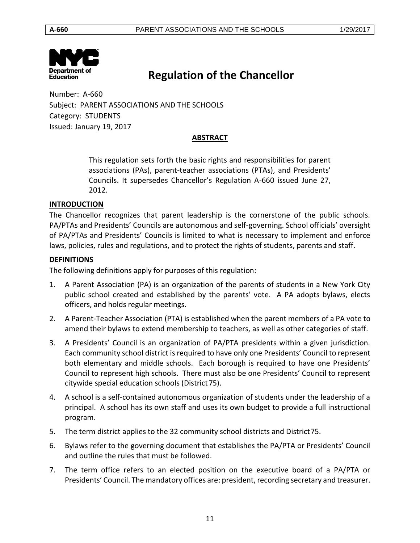

# **Regulation of the Chancellor**

Number: A-660 Subject: PARENT ASSOCIATIONS AND THE SCHOOLS Category: STUDENTS Issued: January 19, 2017

# **ABSTRACT**

This regulation sets forth the basic rights and responsibilities for parent associations (PAs), parent-teacher associations (PTAs), and Presidents' Councils. It supersedes Chancellor's Regulation A-660 issued June 27, 2012.

#### <span id="page-10-0"></span>**INTRODUCTION**

The Chancellor recognizes that parent leadership is the cornerstone of the public schools. PA/PTAs and Presidents' Councils are autonomous and self-governing. School officials' oversight of PA/PTAs and Presidents' Councils is limited to what is necessary to implement and enforce laws, policies, rules and regulations, and to protect the rights of students, parents and staff.

## <span id="page-10-1"></span>**DEFINITIONS**

The following definitions apply for purposes of this regulation:

- 1. A Parent Association (PA) is an organization of the parents of students in a New York City public school created and established by the parents' vote. A PA adopts bylaws, elects officers, and holds regular meetings.
- 2. A Parent-Teacher Association (PTA) is established when the parent members of a PA vote to amend their bylaws to extend membership to teachers, as well as other categories of staff.
- 3. A Presidents' Council is an organization of PA/PTA presidents within a given jurisdiction. Each community school district is required to have only one Presidents' Council to represent both elementary and middle schools. Each borough is required to have one Presidents' Council to represent high schools. There must also be one Presidents' Council to represent citywide special education schools (District75).
- 4. A school is a self-contained autonomous organization of students under the leadership of a principal. A school has its own staff and uses its own budget to provide a full instructional program.
- 5. The term district applies to the 32 community school districts and District75.
- 6. Bylaws refer to the governing document that establishes the PA/PTA or Presidents' Council and outline the rules that must be followed.
- 7. The term office refers to an elected position on the executive board of a PA/PTA or Presidents' Council. The mandatory offices are: president, recording secretary and treasurer.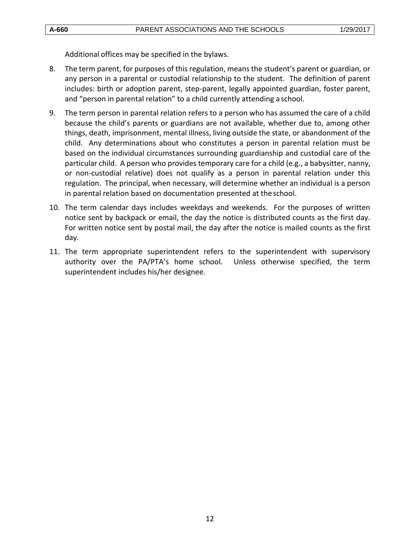Additional offices may be specified in the bylaws.

- 8. The term parent, for purposes of this regulation, means the student's parent or guardian, or any person in a parental or custodial relationship to the student. The definition of parent includes: birth or adoption parent, step-parent, legally appointed guardian, foster parent, and "person in parental relation" to a child currently attending a school.
- 9. The term person in parental relation refers to a person who has assumed the care of a child because the child's parents or guardians are not available, whether due to, among other things, death, imprisonment, mental illness, living outside the state, or abandonment of the child. Any determinations about who constitutes a person in parental relation must be based on the individual circumstances surrounding guardianship and custodial care of the particular child. A person who provides temporary care for a child (e.g., a babysitter, nanny, or non-custodial relative) does not qualify as a person in parental relation under this regulation. The principal, when necessary, will determine whether an individual is a person in parental relation based on documentation presented at theschool.
- 10. The term calendar days includes weekdays and weekends. For the purposes of written notice sent by backpack or email, the day the notice is distributed counts as the first day. For written notice sent by postal mail, the day after the notice is mailed counts as the first day.
- 11. The term appropriate superintendent refers to the superintendent with supervisory authority over the PA/PTA's home school. Unless otherwise specified, the term superintendent includes his/her designee.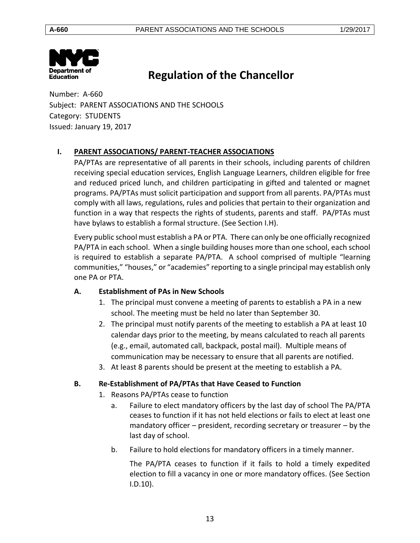

# **Regulation of the Chancellor**

Number: A-660 Subject: PARENT ASSOCIATIONS AND THE SCHOOLS Category: STUDENTS Issued: January 19, 2017

# <span id="page-12-0"></span>**I. PARENT ASSOCIATIONS/ PARENT-TEACHER ASSOCIATIONS**

PA/PTAs are representative of all parents in their schools, including parents of children receiving special education services, English Language Learners, children eligible for free and reduced priced lunch, and children participating in gifted and talented or magnet programs. PA/PTAs must solicit participation and support from all parents. PA/PTAs must comply with all laws, regulations, rules and policies that pertain to their organization and function in a way that respects the rights of students, parents and staff. PA/PTAs must have bylaws to establish a formal structure. (See Section I.H).

Every public school must establish a PA or PTA. There can only be one officially recognized PA/PTA in each school. When a single building houses more than one school, each school is required to establish a separate PA/PTA. A school comprised of multiple "learning communities," "houses," or "academies" reporting to a single principal may establish only one PA or PTA.

# <span id="page-12-1"></span>**A. Establishment of PAs in New Schools**

- 1. The principal must convene a meeting of parents to establish a PA in a new school. The meeting must be held no later than September 30.
- 2. The principal must notify parents of the meeting to establish a PA at least 10 calendar days prior to the meeting, by means calculated to reach all parents (e.g., email, automated call, backpack, postal mail). Multiple means of communication may be necessary to ensure that all parents are notified.
- 3. At least 8 parents should be present at the meeting to establish a PA.

# <span id="page-12-2"></span>**B. Re-Establishment of PA/PTAs that Have Ceased to Function**

- 1. Reasons PA/PTAs cease to function
	- a. Failure to elect mandatory officers by the last day of school The PA/PTA ceases to function if it has not held elections or fails to elect at least one mandatory officer – president, recording secretary or treasurer – by the last day of school.
	- b. Failure to hold elections for mandatory officers in a timely manner.

The PA/PTA ceases to function if it fails to hold a timely expedited election to fill a vacancy in one or more mandatory offices. (See Section I.D.10).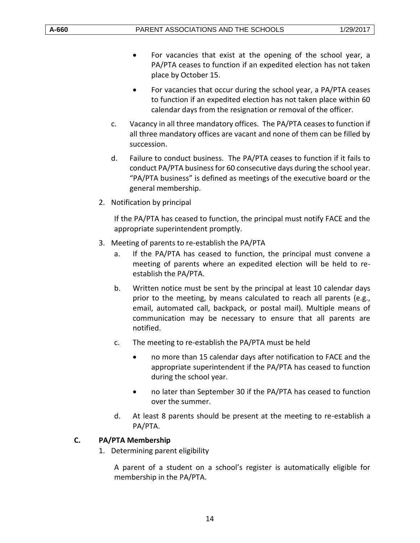- For vacancies that exist at the opening of the school year, a PA/PTA ceases to function if an expedited election has not taken place by October 15.
- For vacancies that occur during the school year, a PA/PTA ceases to function if an expedited election has not taken place within 60 calendar days from the resignation or removal of the officer.
- c. Vacancy in all three mandatory offices. The PA/PTA ceases to function if all three mandatory offices are vacant and none of them can be filled by succession.
- d. Failure to conduct business. The PA/PTA ceases to function if it fails to conduct PA/PTA business for 60 consecutive days during the school year. "PA/PTA business" is defined as meetings of the executive board or the general membership.
- 2. Notification by principal

If the PA/PTA has ceased to function, the principal must notify FACE and the appropriate superintendent promptly.

- 3. Meeting of parents to re-establish the PA/PTA
	- a. If the PA/PTA has ceased to function, the principal must convene a meeting of parents where an expedited election will be held to reestablish the PA/PTA.
	- b. Written notice must be sent by the principal at least 10 calendar days prior to the meeting, by means calculated to reach all parents (e.g., email, automated call, backpack, or postal mail). Multiple means of communication may be necessary to ensure that all parents are notified.
	- c. The meeting to re-establish the PA/PTA must be held
		- no more than 15 calendar days after notification to FACE and the appropriate superintendent if the PA/PTA has ceased to function during the school year.
		- no later than September 30 if the PA/PTA has ceased to function over the summer.
	- d. At least 8 parents should be present at the meeting to re-establish a PA/PTA.

# <span id="page-13-0"></span>**C. PA/PTA Membership**

1. Determining parent eligibility

A parent of a student on a school's register is automatically eligible for membership in the PA/PTA.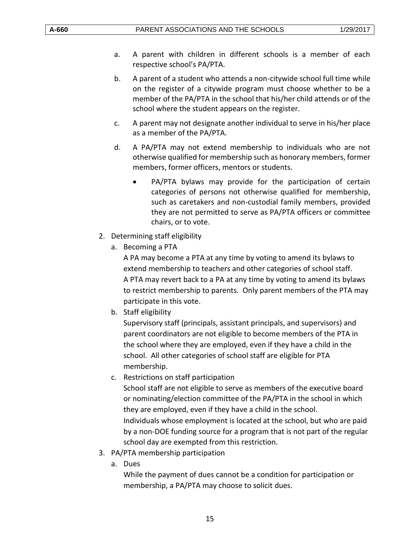- a. A parent with children in different schools is a member of each respective school's PA/PTA.
- b. A parent of a student who attends a non-citywide school full time while on the register of a citywide program must choose whether to be a member of the PA/PTA in the school that his/her child attends or of the school where the student appears on the register.
- c. A parent may not designate another individual to serve in his/her place as a member of the PA/PTA.
- d. A PA/PTA may not extend membership to individuals who are not otherwise qualified for membership such as honorary members, former members, former officers, mentors or students.
	- PA/PTA bylaws may provide for the participation of certain categories of persons not otherwise qualified for membership, such as caretakers and non-custodial family members, provided they are not permitted to serve as PA/PTA officers or committee chairs, or to vote.
- 2. Determining staff eligibility
	- a. Becoming a PTA

A PA may become a PTA at any time by voting to amend its bylaws to extend membership to teachers and other categories of school staff. A PTA may revert back to a PA at any time by voting to amend its bylaws to restrict membership to parents. Only parent members of the PTA may participate in this vote.

b. Staff eligibility

Supervisory staff (principals, assistant principals, and supervisors) and parent coordinators are not eligible to become members of the PTA in the school where they are employed, even if they have a child in the school. All other categories of school staff are eligible for PTA membership.

- c. Restrictions on staff participation School staff are not eligible to serve as members of the executive board or nominating/election committee of the PA/PTA in the school in which they are employed, even if they have a child in the school. Individuals whose employment is located at the school, but who are paid by a non-DOE funding source for a program that is not part of the regular school day are exempted from this restriction.
- 3. PA/PTA membership participation
	- a. Dues

While the payment of dues cannot be a condition for participation or membership, a PA/PTA may choose to solicit dues.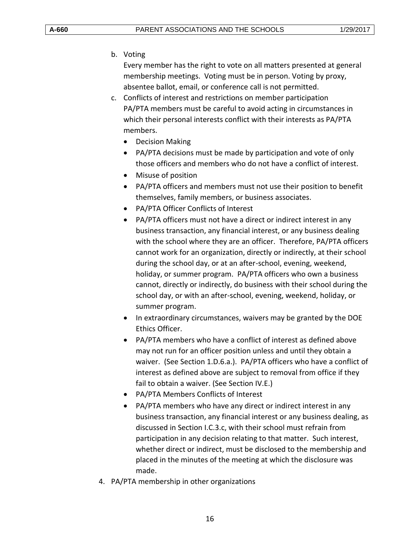## b. Voting

Every member has the right to vote on all matters presented at general membership meetings. Voting must be in person. Voting by proxy, absentee ballot, email, or conference call is not permitted.

- c. Conflicts of interest and restrictions on member participation PA/PTA members must be careful to avoid acting in circumstances in which their personal interests conflict with their interests as PA/PTA members.
	- Decision Making
	- PA/PTA decisions must be made by participation and vote of only those officers and members who do not have a conflict of interest.
	- Misuse of position
	- PA/PTA officers and members must not use their position to benefit themselves, family members, or business associates.
	- PA/PTA Officer Conflicts of Interest
	- PA/PTA officers must not have a direct or indirect interest in any business transaction, any financial interest, or any business dealing with the school where they are an officer. Therefore, PA/PTA officers cannot work for an organization, directly or indirectly, at their school during the school day, or at an after-school, evening, weekend, holiday, or summer program. PA/PTA officers who own a business cannot, directly or indirectly, do business with their school during the school day, or with an after-school, evening, weekend, holiday, or summer program.
	- In extraordinary circumstances, waivers may be granted by the DOE Ethics Officer.
	- PA/PTA members who have a conflict of interest as defined above may not run for an officer position unless and until they obtain a waiver. (See Section 1.D.6.a.). PA/PTA officers who have a conflict of interest as defined above are subject to removal from office if they fail to obtain a waiver. (See Section IV.E.)
	- PA/PTA Members Conflicts of Interest
	- PA/PTA members who have any direct or indirect interest in any business transaction, any financial interest or any business dealing, as discussed in Section I.C.3.c, with their school must refrain from participation in any decision relating to that matter. Such interest, whether direct or indirect, must be disclosed to the membership and placed in the minutes of the meeting at which the disclosure was made.
- 4. PA/PTA membership in other organizations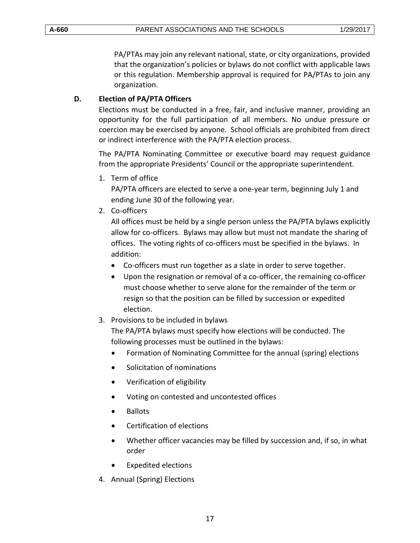PA/PTAs may join any relevant national, state, or city organizations, provided that the organization's policies or bylaws do not conflict with applicable laws or this regulation. Membership approval is required for PA/PTAs to join any organization.

## <span id="page-16-0"></span>**D. Election of PA/PTA Officers**

Elections must be conducted in a free, fair, and inclusive manner, providing an opportunity for the full participation of all members. No undue pressure or coercion may be exercised by anyone. School officials are prohibited from direct or indirect interference with the PA/PTA election process.

The PA/PTA Nominating Committee or executive board may request guidance from the appropriate Presidents' Council or the appropriate superintendent.

1. Term of office

PA/PTA officers are elected to serve a one-year term, beginning July 1 and ending June 30 of the following year.

2. Co-officers

All offices must be held by a single person unless the PA/PTA bylaws explicitly allow for co-officers. Bylaws may allow but must not mandate the sharing of offices. The voting rights of co-officers must be specified in the bylaws. In addition:

- Co-officers must run together as a slate in order to serve together.
- Upon the resignation or removal of a co-officer, the remaining co-officer must choose whether to serve alone for the remainder of the term or resign so that the position can be filled by succession or expedited election.
- 3. Provisions to be included in bylaws

The PA/PTA bylaws must specify how elections will be conducted. The following processes must be outlined in the bylaws:

- Formation of Nominating Committee for the annual (spring) elections
- Solicitation of nominations
- Verification of eligibility
- Voting on contested and uncontested offices
- Ballots
- Certification of elections
- Whether officer vacancies may be filled by succession and, if so, in what order
- Expedited elections
- 4. Annual (Spring) Elections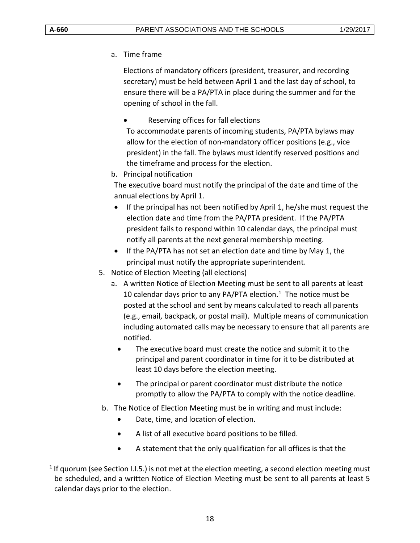$\overline{a}$ 

a. Time frame

Elections of mandatory officers (president, treasurer, and recording secretary) must be held between April 1 and the last day of school, to ensure there will be a PA/PTA in place during the summer and for the opening of school in the fall.

Reserving offices for fall elections

To accommodate parents of incoming students, PA/PTA bylaws may allow for the election of non-mandatory officer positions (e.g., vice president) in the fall. The bylaws must identify reserved positions and the timeframe and process for the election.

b. Principal notification

The executive board must notify the principal of the date and time of the annual elections by April 1.

- If the principal has not been notified by April 1, he/she must request the election date and time from the PA/PTA president. If the PA/PTA president fails to respond within 10 calendar days, the principal must notify all parents at the next general membership meeting.
- If the PA/PTA has not set an election date and time by May 1, the principal must notify the appropriate superintendent.
- 5. Notice of Election Meeting (all elections)
	- a. A written Notice of Election Meeting must be sent to all parents at least 10 calendar days prior to any PA/PTA election. $1$  The notice must be posted at the school and sent by means calculated to reach all parents (e.g., email, backpack, or postal mail). Multiple means of communication including automated calls may be necessary to ensure that all parents are notified.
		- The executive board must create the notice and submit it to the principal and parent coordinator in time for it to be distributed at least 10 days before the election meeting.
		- The principal or parent coordinator must distribute the notice promptly to allow the PA/PTA to comply with the notice deadline.
- b. The Notice of Election Meeting must be in writing and must include:
	- Date, time, and location of election.
	- A list of all executive board positions to be filled.
	- A statement that the only qualification for all offices is that the

 $<sup>1</sup>$  If quorum (see Section I.I.5.) is not met at the election meeting, a second election meeting must</sup> be scheduled, and a written Notice of Election Meeting must be sent to all parents at least 5 calendar days prior to the election.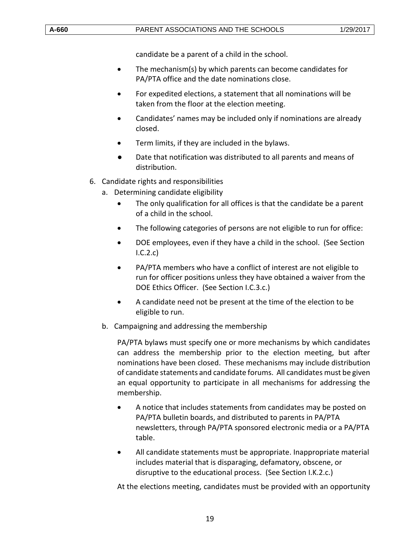candidate be a parent of a child in the school.

- The mechanism(s) by which parents can become candidates for PA/PTA office and the date nominations close.
- For expedited elections, a statement that all nominations will be taken from the floor at the election meeting.
- Candidates' names may be included only if nominations are already closed.
- Term limits, if they are included in the bylaws.
- Date that notification was distributed to all parents and means of distribution.
- 6. Candidate rights and responsibilities
	- a. Determining candidate eligibility
		- The only qualification for all offices is that the candidate be a parent of a child in the school.
		- The following categories of persons are not eligible to run for office:
		- DOE employees, even if they have a child in the school. (See Section I.C.2.c)
		- PA/PTA members who have a conflict of interest are not eligible to run for officer positions unless they have obtained a waiver from the DOE Ethics Officer. (See Section I.C.3.c.)
		- A candidate need not be present at the time of the election to be eligible to run.
	- b. Campaigning and addressing the membership

PA/PTA bylaws must specify one or more mechanisms by which candidates can address the membership prior to the election meeting, but after nominations have been closed. These mechanisms may include distribution of candidate statements and candidate forums. All candidates must be given an equal opportunity to participate in all mechanisms for addressing the membership.

- A notice that includes statements from candidates may be posted on PA/PTA bulletin boards, and distributed to parents in PA/PTA newsletters, through PA/PTA sponsored electronic media or a PA/PTA table.
- All candidate statements must be appropriate. Inappropriate material includes material that is disparaging, defamatory, obscene, or disruptive to the educational process. (See Section I.K.2.c.)

At the elections meeting, candidates must be provided with an opportunity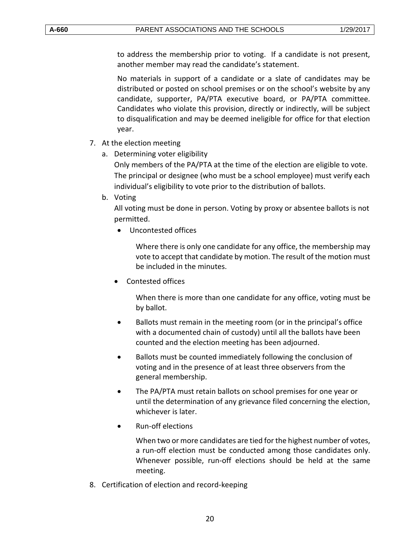to address the membership prior to voting. If a candidate is not present, another member may read the candidate's statement.

No materials in support of a candidate or a slate of candidates may be distributed or posted on school premises or on the school's website by any candidate, supporter, PA/PTA executive board, or PA/PTA committee. Candidates who violate this provision, directly or indirectly, will be subject to disqualification and may be deemed ineligible for office for that election year.

- 7. At the election meeting
	- a. Determining voter eligibility

Only members of the PA/PTA at the time of the election are eligible to vote. The principal or designee (who must be a school employee) must verify each individual's eligibility to vote prior to the distribution of ballots.

b. Voting

All voting must be done in person. Voting by proxy or absentee ballots is not permitted.

Uncontested offices

Where there is only one candidate for any office, the membership may vote to accept that candidate by motion. The result of the motion must be included in the minutes.

Contested offices

When there is more than one candidate for any office, voting must be by ballot.

- Ballots must remain in the meeting room (or in the principal's office with a documented chain of custody) until all the ballots have been counted and the election meeting has been adjourned.
- Ballots must be counted immediately following the conclusion of voting and in the presence of at least three observers from the general membership.
- The PA/PTA must retain ballots on school premises for one year or until the determination of any grievance filed concerning the election, whichever is later.
- Run-off elections

When two or more candidates are tied for the highest number of votes, a run-off election must be conducted among those candidates only. Whenever possible, run-off elections should be held at the same meeting.

8. Certification of election and record-keeping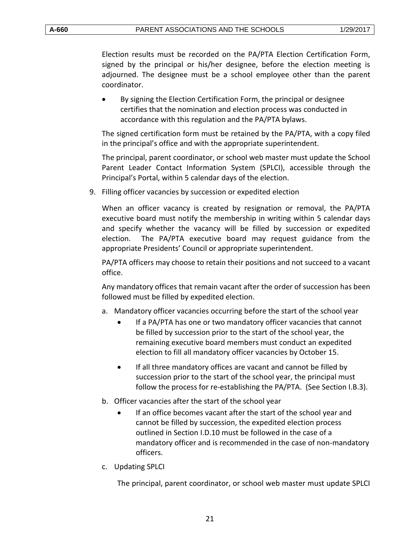Election results must be recorded on the PA/PTA Election Certification Form, signed by the principal or his/her designee, before the election meeting is adjourned. The designee must be a school employee other than the parent coordinator.

 By signing the Election Certification Form, the principal or designee certifies that the nomination and election process was conducted in accordance with this regulation and the PA/PTA bylaws.

The signed certification form must be retained by the PA/PTA, with a copy filed in the principal's office and with the appropriate superintendent.

The principal, parent coordinator, or school web master must update the School Parent Leader Contact Information System (SPLCI), accessible through the Principal's Portal, within 5 calendar days of the election.

9. Filling officer vacancies by succession or expedited election

When an officer vacancy is created by resignation or removal, the PA/PTA executive board must notify the membership in writing within 5 calendar days and specify whether the vacancy will be filled by succession or expedited election. The PA/PTA executive board may request guidance from the appropriate Presidents' Council or appropriate superintendent.

PA/PTA officers may choose to retain their positions and not succeed to a vacant office.

Any mandatory offices that remain vacant after the order of succession has been followed must be filled by expedited election.

- a. Mandatory officer vacancies occurring before the start of the school year
	- If a PA/PTA has one or two mandatory officer vacancies that cannot be filled by succession prior to the start of the school year, the remaining executive board members must conduct an expedited election to fill all mandatory officer vacancies by October 15.
	- If all three mandatory offices are vacant and cannot be filled by succession prior to the start of the school year, the principal must follow the process for re-establishing the PA/PTA. (See Section I.B.3).
- b. Officer vacancies after the start of the school year
	- If an office becomes vacant after the start of the school year and cannot be filled by succession, the expedited election process outlined in Section I.D.10 must be followed in the case of a mandatory officer and is recommended in the case of non-mandatory officers.
- c. Updating SPLCI

The principal, parent coordinator, or school web master must update SPLCI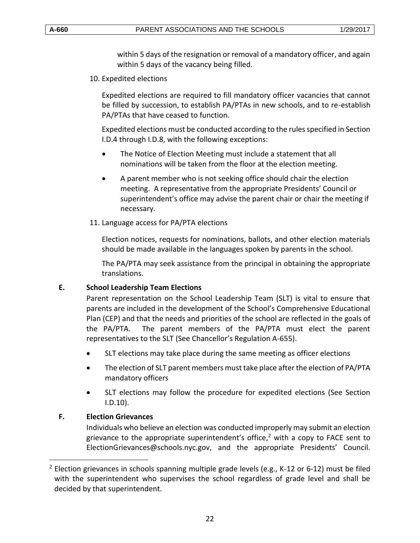within 5 days of the resignation or removal of a mandatory officer, and again within 5 days of the vacancy being filled.

10. Expedited elections

Expedited elections are required to fill mandatory officer vacancies that cannot be filled by succession, to establish PA/PTAs in new schools, and to re-establish PA/PTAs that have ceased to function.

Expedited elections must be conducted according to the rules specified in Section I.D.4 through I.D.8, with the following exceptions:

- The Notice of Election Meeting must include a statement that all nominations will be taken from the floor at the election meeting.
- A parent member who is not seeking office should chair the election meeting. A representative from the appropriate Presidents' Council or superintendent's office may advise the parent chair or chair the meeting if necessary.
- 11. Language access for PA/PTA elections

Election notices, requests for nominations, ballots, and other election materials should be made available in the languages spoken by parents in the school.

The PA/PTA may seek assistance from the principal in obtaining the appropriate translations.

#### <span id="page-21-0"></span>**E. School Leadership Team Elections**

Parent representation on the School Leadership Team (SLT) is vital to ensure that parents are included in the development of the School's Comprehensive Educational Plan (CEP) and that the needs and priorities of the school are reflected in the goals of the PA/PTA. The parent members of the PA/PTA must elect the parent representatives to the SLT (See Chancellor's Regulation A-655).

- SLT elections may take place during the same meeting as officer elections
- The election of SLT parent members must take place after the election of PA/PTA mandatory officers
- SLT elections may follow the procedure for expedited elections (See Section I.D.10).

## <span id="page-21-1"></span>**F. Election Grievances**

 $\overline{a}$ 

Individuals who believe an election was conducted improperly may submit an election grievance to the appropriate superintendent's office, $2$  with a copy to FACE sent to ElectionGrievances@schools.nyc.gov, and the appropriate Presidents' Council.

 $2$  Election grievances in schools spanning multiple grade levels (e.g., K-12 or 6-12) must be filed with the superintendent who supervises the school regardless of grade level and shall be decided by that superintendent.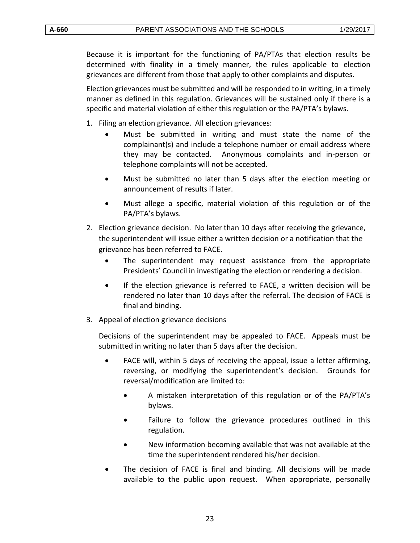Because it is important for the functioning of PA/PTAs that election results be determined with finality in a timely manner, the rules applicable to election grievances are different from those that apply to other complaints and disputes.

Election grievances must be submitted and will be responded to in writing, in a timely manner as defined in this regulation. Grievances will be sustained only if there is a specific and material violation of either this regulation or the PA/PTA's bylaws.

- 1. Filing an election grievance. All election grievances:
	- Must be submitted in writing and must state the name of the complainant(s) and include a telephone number or email address where they may be contacted. Anonymous complaints and in-person or telephone complaints will not be accepted.
	- Must be submitted no later than 5 days after the election meeting or announcement of results if later.
	- Must allege a specific, material violation of this regulation or of the PA/PTA's bylaws.
- 2. Election grievance decision. No later than 10 days after receiving the grievance, the superintendent will issue either a written decision or a notification that the grievance has been referred to FACE.
	- The superintendent may request assistance from the appropriate Presidents' Council in investigating the election or rendering a decision.
	- If the election grievance is referred to FACE, a written decision will be rendered no later than 10 days after the referral. The decision of FACE is final and binding.
- 3. Appeal of election grievance decisions

Decisions of the superintendent may be appealed to FACE. Appeals must be submitted in writing no later than 5 days after the decision.

- FACE will, within 5 days of receiving the appeal, issue a letter affirming, reversing, or modifying the superintendent's decision. Grounds for reversal/modification are limited to:
	- A mistaken interpretation of this regulation or of the PA/PTA's bylaws.
	- Failure to follow the grievance procedures outlined in this regulation.
	- New information becoming available that was not available at the time the superintendent rendered his/her decision.
- The decision of FACE is final and binding. All decisions will be made available to the public upon request. When appropriate, personally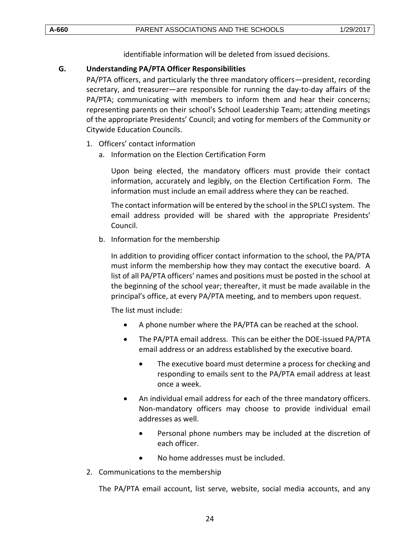identifiable information will be deleted from issued decisions.

## <span id="page-23-0"></span>**G. Understanding PA/PTA Officer Responsibilities**

PA/PTA officers, and particularly the three mandatory officers—president, recording secretary, and treasurer—are responsible for running the day-to-day affairs of the PA/PTA; communicating with members to inform them and hear their concerns; representing parents on their school's School Leadership Team; attending meetings of the appropriate Presidents' Council; and voting for members of the Community or Citywide Education Councils.

- 1. Officers' contact information
	- a. Information on the Election Certification Form

Upon being elected, the mandatory officers must provide their contact information, accurately and legibly, on the Election Certification Form. The information must include an email address where they can be reached.

The contact information will be entered by the school in the SPLCI system. The email address provided will be shared with the appropriate Presidents' Council.

b. Information for the membership

In addition to providing officer contact information to the school, the PA/PTA must inform the membership how they may contact the executive board. A list of all PA/PTA officers' names and positions must be posted in the school at the beginning of the school year; thereafter, it must be made available in the principal's office, at every PA/PTA meeting, and to members upon request.

The list must include:

- A phone number where the PA/PTA can be reached at the school.
- The PA/PTA email address. This can be either the DOE-issued PA/PTA email address or an address established by the executive board.
	- The executive board must determine a process for checking and responding to emails sent to the PA/PTA email address at least once a week.
- An individual email address for each of the three mandatory officers. Non-mandatory officers may choose to provide individual email addresses as well.
	- Personal phone numbers may be included at the discretion of each officer.
	- No home addresses must be included.
- 2. Communications to the membership

The PA/PTA email account, list serve, website, social media accounts, and any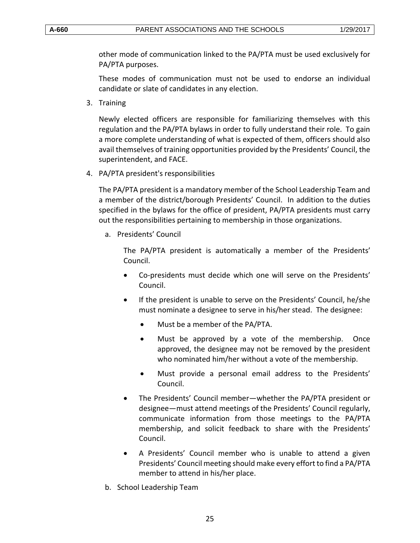other mode of communication linked to the PA/PTA must be used exclusively for PA/PTA purposes.

These modes of communication must not be used to endorse an individual candidate or slate of candidates in any election.

3. Training

Newly elected officers are responsible for familiarizing themselves with this regulation and the PA/PTA bylaws in order to fully understand their role. To gain a more complete understanding of what is expected of them, officers should also avail themselves of training opportunities provided by the Presidents' Council, the superintendent, and FACE.

4. PA/PTA president's responsibilities

The PA/PTA president is a mandatory member of the School Leadership Team and a member of the district/borough Presidents' Council. In addition to the duties specified in the bylaws for the office of president, PA/PTA presidents must carry out the responsibilities pertaining to membership in those organizations.

a. Presidents' Council

The PA/PTA president is automatically a member of the Presidents' Council.

- Co-presidents must decide which one will serve on the Presidents' Council.
- If the president is unable to serve on the Presidents' Council, he/she must nominate a designee to serve in his/her stead. The designee:
	- Must be a member of the PA/PTA.
	- Must be approved by a vote of the membership. Once approved, the designee may not be removed by the president who nominated him/her without a vote of the membership.
	- Must provide a personal email address to the Presidents' Council.
- The Presidents' Council member—whether the PA/PTA president or designee—must attend meetings of the Presidents' Council regularly, communicate information from those meetings to the PA/PTA membership, and solicit feedback to share with the Presidents' Council.
- A Presidents' Council member who is unable to attend a given Presidents' Council meeting should make every effort to find a PA/PTA member to attend in his/her place.
- b. School Leadership Team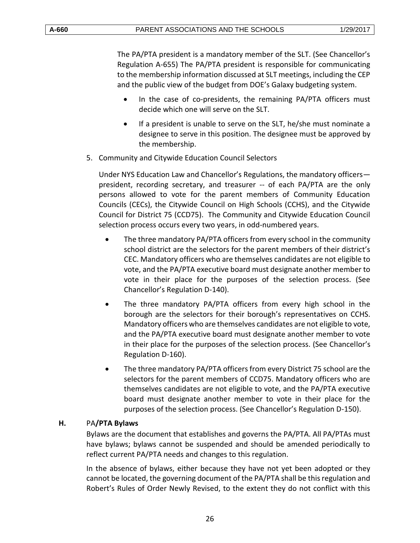The PA/PTA president is a mandatory member of the SLT. (See Chancellor's Regulation A-655) The PA/PTA president is responsible for communicating to the membership information discussed at SLT meetings, including the CEP and the public view of the budget from DOE's Galaxy budgeting system.

- In the case of co-presidents, the remaining PA/PTA officers must decide which one will serve on the SLT.
- If a president is unable to serve on the SLT, he/she must nominate a designee to serve in this position. The designee must be approved by the membership.
- 5. Community and Citywide Education Council Selectors

Under NYS Education Law and Chancellor's Regulations, the mandatory officers president, recording secretary, and treasurer -- of each PA/PTA are the only persons allowed to vote for the parent members of Community Education Councils (CECs), the Citywide Council on High Schools (CCHS), and the Citywide Council for District 75 (CCD75). The Community and Citywide Education Council selection process occurs every two years, in odd-numbered years.

- The three mandatory PA/PTA officers from every school in the community school district are the selectors for the parent members of their district's CEC. Mandatory officers who are themselves candidates are not eligible to vote, and the PA/PTA executive board must designate another member to vote in their place for the purposes of the selection process. (See Chancellor's Regulation D-140).
- The three mandatory PA/PTA officers from every high school in the borough are the selectors for their borough's representatives on CCHS. Mandatory officers who are themselves candidates are not eligible to vote, and the PA/PTA executive board must designate another member to vote in their place for the purposes of the selection process. (See Chancellor's Regulation D-160).
- The three mandatory PA/PTA officers from every District 75 school are the selectors for the parent members of CCD75. Mandatory officers who are themselves candidates are not eligible to vote, and the PA/PTA executive board must designate another member to vote in their place for the purposes of the selection process. (See Chancellor's Regulation D-150).

## <span id="page-25-0"></span>**H.** PA**/PTA Bylaws**

Bylaws are the document that establishes and governs the PA/PTA. All PA/PTAs must have bylaws; bylaws cannot be suspended and should be amended periodically to reflect current PA/PTA needs and changes to this regulation.

In the absence of bylaws, either because they have not yet been adopted or they cannot be located, the governing document of the PA/PTA shall be this regulation and Robert's Rules of Order Newly Revised, to the extent they do not conflict with this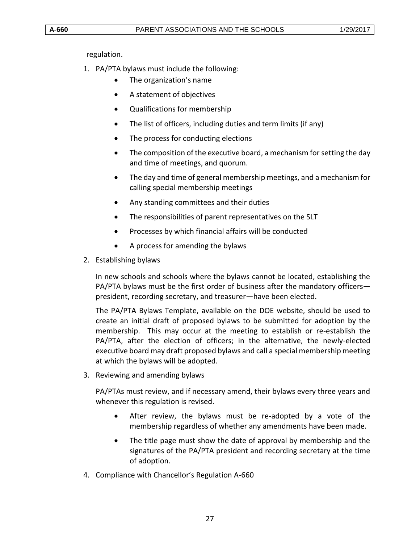regulation.

- 1. PA/PTA bylaws must include the following:
	- The organization's name
	- A statement of objectives
	- Qualifications for membership
	- The list of officers, including duties and term limits (if any)
	- The process for conducting elections
	- The composition of the executive board, a mechanism for setting the day and time of meetings, and quorum.
	- The day and time of general membership meetings, and a mechanism for calling special membership meetings
	- Any standing committees and their duties
	- The responsibilities of parent representatives on the SLT
	- Processes by which financial affairs will be conducted
	- A process for amending the bylaws
- 2. Establishing bylaws

In new schools and schools where the bylaws cannot be located, establishing the PA/PTA bylaws must be the first order of business after the mandatory officers president, recording secretary, and treasurer—have been elected.

The PA/PTA Bylaws Template, available on the DOE website, should be used to create an initial draft of proposed bylaws to be submitted for adoption by the membership. This may occur at the meeting to establish or re-establish the PA/PTA, after the election of officers; in the alternative, the newly-elected executive board may draft proposed bylaws and call a special membership meeting at which the bylaws will be adopted.

3. Reviewing and amending bylaws

PA/PTAs must review, and if necessary amend, their bylaws every three years and whenever this regulation is revised.

- After review, the bylaws must be re-adopted by a vote of the membership regardless of whether any amendments have been made.
- The title page must show the date of approval by membership and the signatures of the PA/PTA president and recording secretary at the time of adoption.
- 4. Compliance with Chancellor's Regulation A-660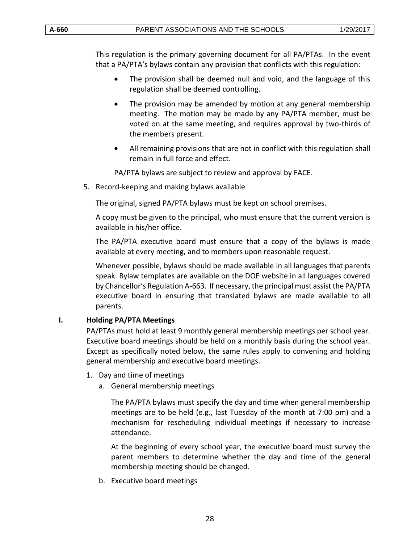This regulation is the primary governing document for all PA/PTAs. In the event that a PA/PTA's bylaws contain any provision that conflicts with this regulation:

- The provision shall be deemed null and void, and the language of this regulation shall be deemed controlling.
- The provision may be amended by motion at any general membership meeting. The motion may be made by any PA/PTA member, must be voted on at the same meeting, and requires approval by two-thirds of the members present.
- All remaining provisions that are not in conflict with this regulation shall remain in full force and effect.

PA/PTA bylaws are subject to review and approval by FACE.

5. Record-keeping and making bylaws available

The original, signed PA/PTA bylaws must be kept on school premises.

A copy must be given to the principal, who must ensure that the current version is available in his/her office.

The PA/PTA executive board must ensure that a copy of the bylaws is made available at every meeting, and to members upon reasonable request.

Whenever possible, bylaws should be made available in all languages that parents speak. Bylaw templates are available on the DOE website in all languages covered by Chancellor's Regulation A-663. If necessary, the principal must assist the PA/PTA executive board in ensuring that translated bylaws are made available to all parents.

# <span id="page-27-0"></span>**I. Holding PA/PTA Meetings**

PA/PTAs must hold at least 9 monthly general membership meetings per school year. Executive board meetings should be held on a monthly basis during the school year. Except as specifically noted below, the same rules apply to convening and holding general membership and executive board meetings.

- 1. Day and time of meetings
	- a. General membership meetings

The PA/PTA bylaws must specify the day and time when general membership meetings are to be held (e.g., last Tuesday of the month at 7:00 pm) and a mechanism for rescheduling individual meetings if necessary to increase attendance.

At the beginning of every school year, the executive board must survey the parent members to determine whether the day and time of the general membership meeting should be changed.

b. Executive board meetings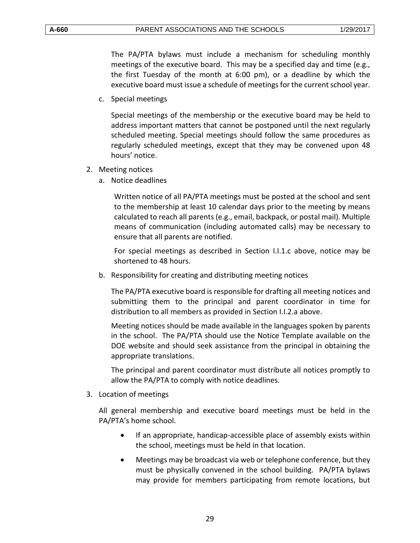The PA/PTA bylaws must include a mechanism for scheduling monthly meetings of the executive board. This may be a specified day and time (e.g., the first Tuesday of the month at 6:00 pm), or a deadline by which the executive board must issue a schedule of meetings for the current school year.

c. Special meetings

Special meetings of the membership or the executive board may be held to address important matters that cannot be postponed until the next regularly scheduled meeting. Special meetings should follow the same procedures as regularly scheduled meetings, except that they may be convened upon 48 hours' notice.

- 2. Meeting notices
	- a. Notice deadlines

Written notice of all PA/PTA meetings must be posted at the school and sent to the membership at least 10 calendar days prior to the meeting by means calculated to reach all parents (e.g., email, backpack, or postal mail). Multiple means of communication (including automated calls) may be necessary to ensure that all parents are notified.

For special meetings as described in Section I.I.1.c above, notice may be shortened to 48 hours.

b. Responsibility for creating and distributing meeting notices

The PA/PTA executive board is responsible for drafting all meeting notices and submitting them to the principal and parent coordinator in time for distribution to all members as provided in Section I.I.2.a above.

Meeting notices should be made available in the languages spoken by parents in the school. The PA/PTA should use the Notice Template available on the DOE website and should seek assistance from the principal in obtaining the appropriate translations.

The principal and parent coordinator must distribute all notices promptly to allow the PA/PTA to comply with notice deadlines.

3. Location of meetings

All general membership and executive board meetings must be held in the PA/PTA's home school.

- If an appropriate, handicap-accessible place of assembly exists within the school, meetings must be held in that location.
- Meetings may be broadcast via web or telephone conference, but they must be physically convened in the school building. PA/PTA bylaws may provide for members participating from remote locations, but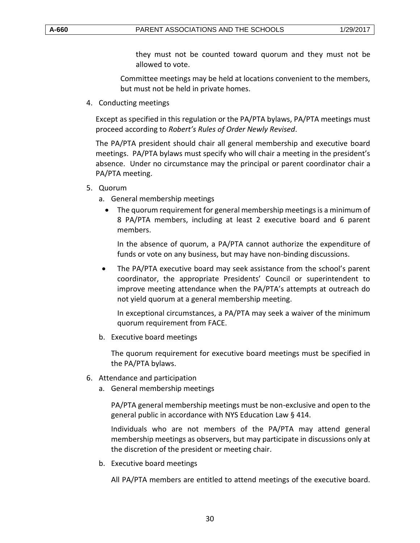they must not be counted toward quorum and they must not be allowed to vote.

Committee meetings may be held at locations convenient to the members, but must not be held in private homes.

4. Conducting meetings

Except as specified in this regulation or the PA/PTA bylaws, PA/PTA meetings must proceed according to *Robert's Rules of Order Newly Revised*.

The PA/PTA president should chair all general membership and executive board meetings. PA/PTA bylaws must specify who will chair a meeting in the president's absence. Under no circumstance may the principal or parent coordinator chair a PA/PTA meeting.

- 5. Quorum
	- a. General membership meetings
		- The quorum requirement for general membership meetings is a minimum of 8 PA/PTA members, including at least 2 executive board and 6 parent members.

In the absence of quorum, a PA/PTA cannot authorize the expenditure of funds or vote on any business, but may have non-binding discussions.

 The PA/PTA executive board may seek assistance from the school's parent coordinator, the appropriate Presidents' Council or superintendent to improve meeting attendance when the PA/PTA's attempts at outreach do not yield quorum at a general membership meeting.

In exceptional circumstances, a PA/PTA may seek a waiver of the minimum quorum requirement from FACE.

b. Executive board meetings

The quorum requirement for executive board meetings must be specified in the PA/PTA bylaws.

- 6. Attendance and participation
	- a. General membership meetings

PA/PTA general membership meetings must be non-exclusive and open to the general public in accordance with NYS Education Law § 414.

Individuals who are not members of the PA/PTA may attend general membership meetings as observers, but may participate in discussions only at the discretion of the president or meeting chair.

b. Executive board meetings

All PA/PTA members are entitled to attend meetings of the executive board.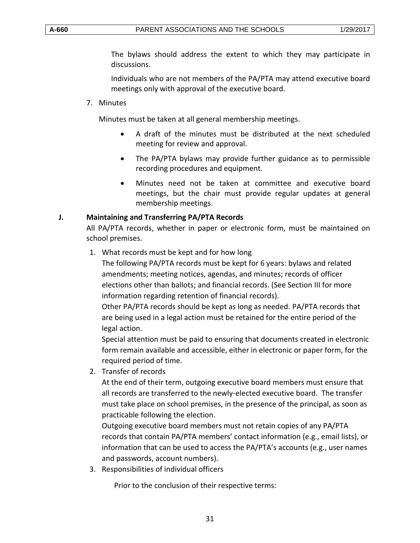The bylaws should address the extent to which they may participate in discussions.

Individuals who are not members of the PA/PTA may attend executive board meetings only with approval of the executive board.

7. Minutes

Minutes must be taken at all general membership meetings.

- A draft of the minutes must be distributed at the next scheduled meeting for review and approval.
- The PA/PTA bylaws may provide further guidance as to permissible recording procedures and equipment.
- Minutes need not be taken at committee and executive board meetings, but the chair must provide regular updates at general membership meetings.

# <span id="page-30-0"></span>**J. Maintaining and Transferring PA/PTA Records**

All PA/PTA records, whether in paper or electronic form, must be maintained on school premises.

1. What records must be kept and for how long

The following PA/PTA records must be kept for 6 years: bylaws and related amendments; meeting notices, agendas, and minutes; records of officer elections other than ballots; and financial records. (See Section III for more information regarding retention of financial records).

Other PA/PTA records should be kept as long as needed. PA/PTA records that are being used in a legal action must be retained for the entire period of the legal action.

Special attention must be paid to ensuring that documents created in electronic form remain available and accessible, either in electronic or paper form, for the required period of time.

2. Transfer of records

At the end of their term, outgoing executive board members must ensure that all records are transferred to the newly-elected executive board. The transfer must take place on school premises, in the presence of the principal, as soon as practicable following the election.

Outgoing executive board members must not retain copies of any PA/PTA records that contain PA/PTA members' contact information (e.g., email lists), or information that can be used to access the PA/PTA's accounts (e.g., user names and passwords, account numbers).

3. Responsibilities of individual officers

Prior to the conclusion of their respective terms: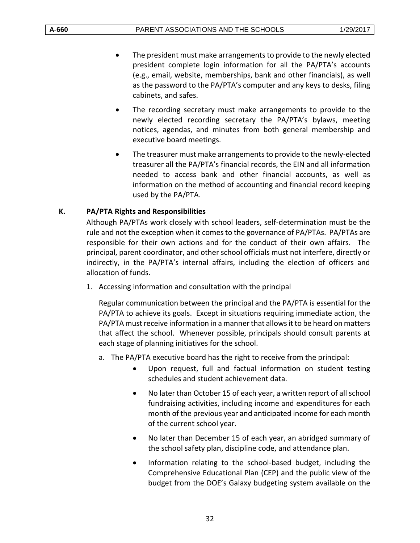- The president must make arrangements to provide to the newly elected president complete login information for all the PA/PTA's accounts (e.g., email, website, memberships, bank and other financials), as well as the password to the PA/PTA's computer and any keys to desks, filing cabinets, and safes.
- The recording secretary must make arrangements to provide to the newly elected recording secretary the PA/PTA's bylaws, meeting notices, agendas, and minutes from both general membership and executive board meetings.
- The treasurer must make arrangements to provide to the newly-elected treasurer all the PA/PTA's financial records, the EIN and all information needed to access bank and other financial accounts, as well as information on the method of accounting and financial record keeping used by the PA/PTA.

# <span id="page-31-0"></span>**K. PA/PTA Rights and Responsibilities**

Although PA/PTAs work closely with school leaders, self-determination must be the rule and not the exception when it comes to the governance of PA/PTAs. PA/PTAs are responsible for their own actions and for the conduct of their own affairs. The principal, parent coordinator, and other school officials must not interfere, directly or indirectly, in the PA/PTA's internal affairs, including the election of officers and allocation of funds.

1. Accessing information and consultation with the principal

Regular communication between the principal and the PA/PTA is essential for the PA/PTA to achieve its goals. Except in situations requiring immediate action, the PA/PTA must receive information in a manner that allows it to be heard on matters that affect the school. Whenever possible, principals should consult parents at each stage of planning initiatives for the school.

- a. The PA/PTA executive board has the right to receive from the principal:
	- Upon request, full and factual information on student testing schedules and student achievement data.
	- No later than October 15 of each year, a written report of all school fundraising activities, including income and expenditures for each month of the previous year and anticipated income for each month of the current school year.
	- No later than December 15 of each year, an abridged summary of the school safety plan, discipline code, and attendance plan.
	- Information relating to the school-based budget, including the Comprehensive Educational Plan (CEP) and the public view of the budget from the DOE's Galaxy budgeting system available on the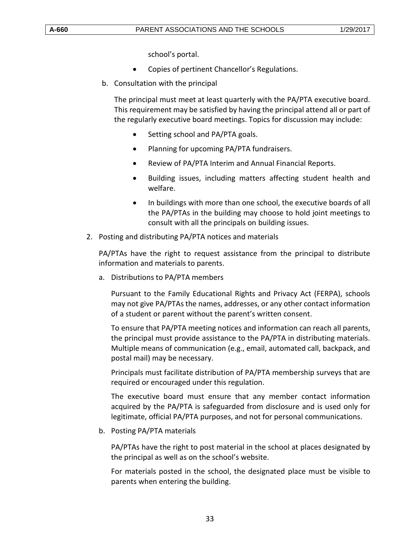school's portal.

- Copies of pertinent Chancellor's Regulations.
- b. Consultation with the principal

The principal must meet at least quarterly with the PA/PTA executive board. This requirement may be satisfied by having the principal attend all or part of the regularly executive board meetings. Topics for discussion may include:

- Setting school and PA/PTA goals.
- Planning for upcoming PA/PTA fundraisers.
- Review of PA/PTA Interim and Annual Financial Reports.
- Building issues, including matters affecting student health and welfare.
- In buildings with more than one school, the executive boards of all the PA/PTAs in the building may choose to hold joint meetings to consult with all the principals on building issues.
- 2. Posting and distributing PA/PTA notices and materials

PA/PTAs have the right to request assistance from the principal to distribute information and materials to parents.

a. Distributions to PA/PTA members

Pursuant to the Family Educational Rights and Privacy Act (FERPA), schools may not give PA/PTAs the names, addresses, or any other contact information of a student or parent without the parent's written consent.

To ensure that PA/PTA meeting notices and information can reach all parents, the principal must provide assistance to the PA/PTA in distributing materials. Multiple means of communication (e.g., email, automated call, backpack, and postal mail) may be necessary.

Principals must facilitate distribution of PA/PTA membership surveys that are required or encouraged under this regulation.

The executive board must ensure that any member contact information acquired by the PA/PTA is safeguarded from disclosure and is used only for legitimate, official PA/PTA purposes, and not for personal communications.

b. Posting PA/PTA materials

PA/PTAs have the right to post material in the school at places designated by the principal as well as on the school's website.

For materials posted in the school, the designated place must be visible to parents when entering the building.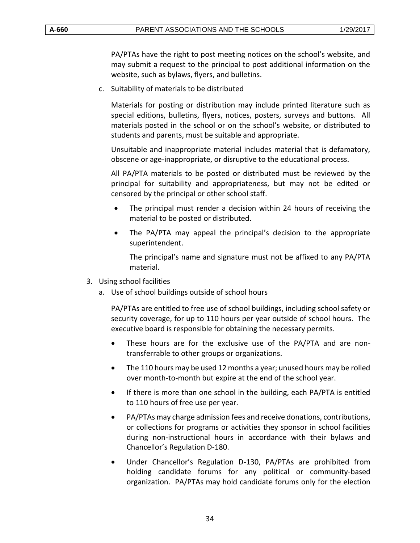PA/PTAs have the right to post meeting notices on the school's website, and may submit a request to the principal to post additional information on the website, such as bylaws, flyers, and bulletins.

c. Suitability of materials to be distributed

Materials for posting or distribution may include printed literature such as special editions, bulletins, flyers, notices, posters, surveys and buttons. All materials posted in the school or on the school's website, or distributed to students and parents, must be suitable and appropriate.

Unsuitable and inappropriate material includes material that is defamatory, obscene or age-inappropriate, or disruptive to the educational process.

All PA/PTA materials to be posted or distributed must be reviewed by the principal for suitability and appropriateness, but may not be edited or censored by the principal or other school staff.

- The principal must render a decision within 24 hours of receiving the material to be posted or distributed.
- The PA/PTA may appeal the principal's decision to the appropriate superintendent.

The principal's name and signature must not be affixed to any PA/PTA material.

- 3. Using school facilities
	- a. Use of school buildings outside of school hours

PA/PTAs are entitled to free use of school buildings, including school safety or security coverage, for up to 110 hours per year outside of school hours. The executive board is responsible for obtaining the necessary permits.

- These hours are for the exclusive use of the PA/PTA and are nontransferrable to other groups or organizations.
- The 110 hours may be used 12 months a year; unused hours may be rolled over month-to-month but expire at the end of the school year.
- If there is more than one school in the building, each PA/PTA is entitled to 110 hours of free use per year.
- PA/PTAs may charge admission fees and receive donations, contributions, or collections for programs or activities they sponsor in school facilities during non-instructional hours in accordance with their bylaws and Chancellor's Regulation D-180.
- Under Chancellor's Regulation D-130, PA/PTAs are prohibited from holding candidate forums for any political or community-based organization. PA/PTAs may hold candidate forums only for the election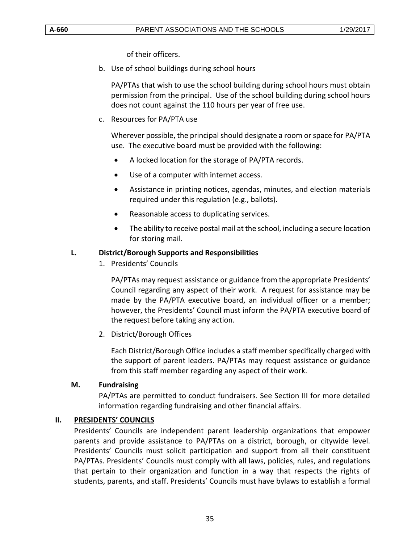of their officers.

b. Use of school buildings during school hours

PA/PTAs that wish to use the school building during school hours must obtain permission from the principal. Use of the school building during school hours does not count against the 110 hours per year of free use.

c. Resources for PA/PTA use

Wherever possible, the principal should designate a room or space for PA/PTA use. The executive board must be provided with the following:

- A locked location for the storage of PA/PTA records.
- Use of a computer with internet access.
- Assistance in printing notices, agendas, minutes, and election materials required under this regulation (e.g., ballots).
- Reasonable access to duplicating services.
- The ability to receive postal mail at the school, including a secure location for storing mail.

# <span id="page-34-0"></span>**L. District/Borough Supports and Responsibilities**

1. Presidents' Councils

PA/PTAs may request assistance or guidance from the appropriate Presidents' Council regarding any aspect of their work. A request for assistance may be made by the PA/PTA executive board, an individual officer or a member; however, the Presidents' Council must inform the PA/PTA executive board of the request before taking any action.

2. District/Borough Offices

Each District/Borough Office includes a staff member specifically charged with the support of parent leaders. PA/PTAs may request assistance or guidance from this staff member regarding any aspect of their work.

# <span id="page-34-1"></span>**M. Fundraising**

PA/PTAs are permitted to conduct fundraisers. See Section III for more detailed information regarding fundraising and other financial affairs.

# <span id="page-34-2"></span>**II. PRESIDENTS' COUNCILS**

Presidents' Councils are independent parent leadership organizations that empower parents and provide assistance to PA/PTAs on a district, borough, or citywide level. Presidents' Councils must solicit participation and support from all their constituent PA/PTAs. Presidents' Councils must comply with all laws, policies, rules, and regulations that pertain to their organization and function in a way that respects the rights of students, parents, and staff. Presidents' Councils must have bylaws to establish a formal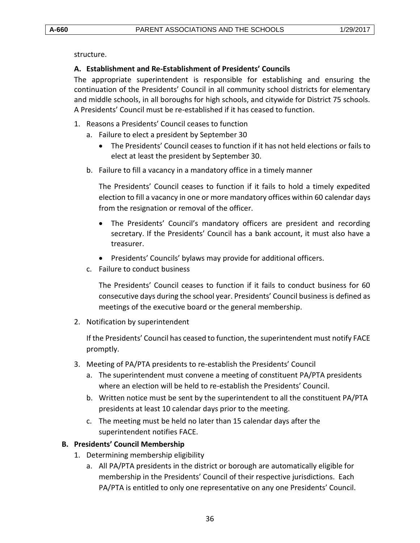structure.

#### <span id="page-35-0"></span>**A. Establishment and Re-Establishment of Presidents' Councils**

The appropriate superintendent is responsible for establishing and ensuring the continuation of the Presidents' Council in all community school districts for elementary and middle schools, in all boroughs for high schools, and citywide for District 75 schools. A Presidents' Council must be re-established if it has ceased to function.

- 1. Reasons a Presidents' Council ceases to function
	- a. Failure to elect a president by September 30
		- The Presidents' Council ceases to function if it has not held elections or fails to elect at least the president by September 30.
	- b. Failure to fill a vacancy in a mandatory office in a timely manner

The Presidents' Council ceases to function if it fails to hold a timely expedited election to fill a vacancy in one or more mandatory offices within 60 calendar days from the resignation or removal of the officer.

- The Presidents' Council's mandatory officers are president and recording secretary. If the Presidents' Council has a bank account, it must also have a treasurer.
- Presidents' Councils' bylaws may provide for additional officers.
- c. Failure to conduct business

The Presidents' Council ceases to function if it fails to conduct business for 60 consecutive days during the school year. Presidents' Council business is defined as meetings of the executive board or the general membership.

2. Notification by superintendent

If the Presidents' Council has ceased to function, the superintendent must notify FACE promptly.

- 3. Meeting of PA/PTA presidents to re-establish the Presidents' Council
	- a. The superintendent must convene a meeting of constituent PA/PTA presidents where an election will be held to re-establish the Presidents' Council.
	- b. Written notice must be sent by the superintendent to all the constituent PA/PTA presidents at least 10 calendar days prior to the meeting.
	- c. The meeting must be held no later than 15 calendar days after the superintendent notifies FACE.

#### <span id="page-35-1"></span>**B. Presidents' Council Membership**

- 1. Determining membership eligibility
	- a. All PA/PTA presidents in the district or borough are automatically eligible for membership in the Presidents' Council of their respective jurisdictions. Each PA/PTA is entitled to only one representative on any one Presidents' Council.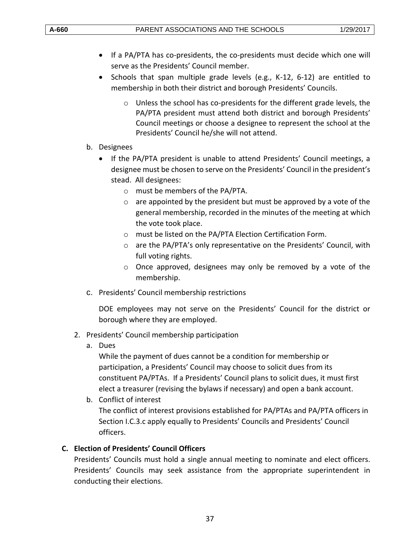- If a PA/PTA has co-presidents, the co-presidents must decide which one will serve as the Presidents' Council member.
- Schools that span multiple grade levels (e.g.,  $K-12$ , 6-12) are entitled to membership in both their district and borough Presidents' Councils.
	- $\circ$  Unless the school has co-presidents for the different grade levels, the PA/PTA president must attend both district and borough Presidents' Council meetings or choose a designee to represent the school at the Presidents' Council he/she will not attend.
- b. Designees
	- If the PA/PTA president is unable to attend Presidents' Council meetings, a designee must be chosen to serve on the Presidents' Council in the president's stead. All designees:
		- o must be members of the PA/PTA.
		- $\circ$  are appointed by the president but must be approved by a vote of the general membership, recorded in the minutes of the meeting at which the vote took place.
		- o must be listed on the PA/PTA Election Certification Form.
		- o are the PA/PTA's only representative on the Presidents' Council, with full voting rights.
		- o Once approved, designees may only be removed by a vote of the membership.
- c. Presidents' Council membership restrictions

DOE employees may not serve on the Presidents' Council for the district or borough where they are employed.

- 2. Presidents' Council membership participation
	- a. Dues

While the payment of dues cannot be a condition for membership or participation, a Presidents' Council may choose to solicit dues from its constituent PA/PTAs. If a Presidents' Council plans to solicit dues, it must first elect a treasurer (revising the bylaws if necessary) and open a bank account.

b. Conflict of interest

The conflict of interest provisions established for PA/PTAs and PA/PTA officers in Section I.C.3.c apply equally to Presidents' Councils and Presidents' Council officers.

# <span id="page-36-0"></span>**C. Election of Presidents' Council Officers**

Presidents' Councils must hold a single annual meeting to nominate and elect officers. Presidents' Councils may seek assistance from the appropriate superintendent in conducting their elections.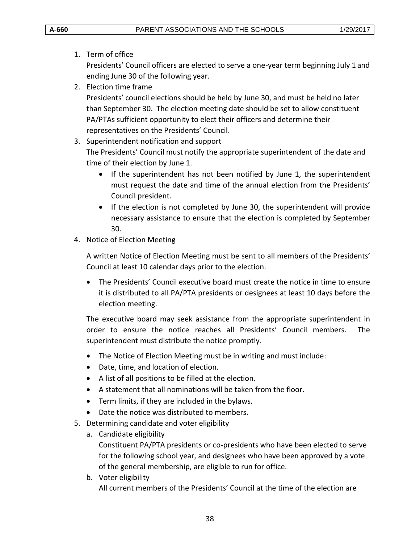1. Term of office

Presidents' Council officers are elected to serve a one-year term beginning July 1 and ending June 30 of the following year.

2. Election time frame

Presidents' council elections should be held by June 30, and must be held no later than September 30. The election meeting date should be set to allow constituent PA/PTAs sufficient opportunity to elect their officers and determine their representatives on the Presidents' Council.

3. Superintendent notification and support

The Presidents' Council must notify the appropriate superintendent of the date and time of their election by June 1.

- If the superintendent has not been notified by June 1, the superintendent must request the date and time of the annual election from the Presidents' Council president.
- If the election is not completed by June 30, the superintendent will provide necessary assistance to ensure that the election is completed by September 30.
- 4. Notice of Election Meeting

A written Notice of Election Meeting must be sent to all members of the Presidents' Council at least 10 calendar days prior to the election.

 The Presidents' Council executive board must create the notice in time to ensure it is distributed to all PA/PTA presidents or designees at least 10 days before the election meeting.

The executive board may seek assistance from the appropriate superintendent in order to ensure the notice reaches all Presidents' Council members. The superintendent must distribute the notice promptly.

- The Notice of Election Meeting must be in writing and must include:
- Date, time, and location of election.
- A list of all positions to be filled at the election.
- A statement that all nominations will be taken from the floor.
- Term limits, if they are included in the bylaws.
- Date the notice was distributed to members.
- 5. Determining candidate and voter eligibility
	- a. Candidate eligibility

Constituent PA/PTA presidents or co-presidents who have been elected to serve for the following school year, and designees who have been approved by a vote of the general membership, are eligible to run for office.

b. Voter eligibility All current members of the Presidents' Council at the time of the election are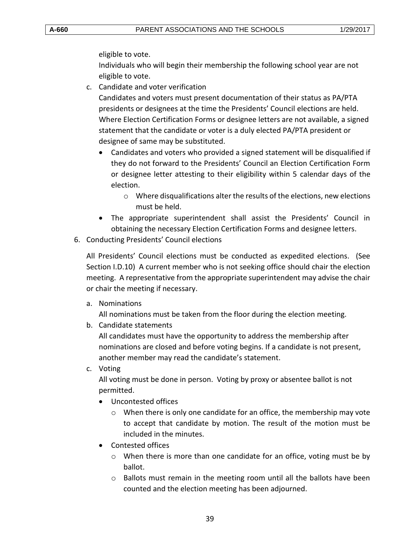eligible to vote.

Individuals who will begin their membership the following school year are not eligible to vote.

c. Candidate and voter verification

Candidates and voters must present documentation of their status as PA/PTA presidents or designees at the time the Presidents' Council elections are held. Where Election Certification Forms or designee letters are not available, a signed statement that the candidate or voter is a duly elected PA/PTA president or designee of same may be substituted.

- Candidates and voters who provided a signed statement will be disqualified if they do not forward to the Presidents' Council an Election Certification Form or designee letter attesting to their eligibility within 5 calendar days of the election.
	- o Where disqualifications alter the results of the elections, new elections must be held.
- The appropriate superintendent shall assist the Presidents' Council in obtaining the necessary Election Certification Forms and designee letters.
- 6. Conducting Presidents' Council elections

All Presidents' Council elections must be conducted as expedited elections. (See Section I.D.10) A current member who is not seeking office should chair the election meeting. A representative from the appropriate superintendent may advise the chair or chair the meeting if necessary.

a. Nominations

All nominations must be taken from the floor during the election meeting.

b. Candidate statements

All candidates must have the opportunity to address the membership after nominations are closed and before voting begins. If a candidate is not present, another member may read the candidate's statement.

c. Voting

All voting must be done in person. Voting by proxy or absentee ballot is not permitted.

- Uncontested offices
	- $\circ$  When there is only one candidate for an office, the membership may vote to accept that candidate by motion. The result of the motion must be included in the minutes.
- Contested offices
	- $\circ$  When there is more than one candidate for an office, voting must be by ballot.
	- o Ballots must remain in the meeting room until all the ballots have been counted and the election meeting has been adjourned.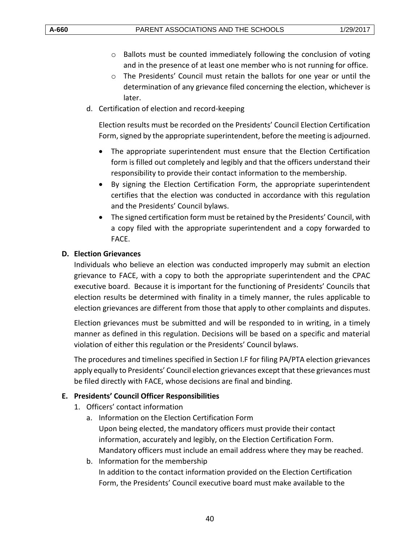- o Ballots must be counted immediately following the conclusion of voting and in the presence of at least one member who is not running for office.
- o The Presidents' Council must retain the ballots for one year or until the determination of any grievance filed concerning the election, whichever is later.
- d. Certification of election and record-keeping

Election results must be recorded on the Presidents' Council Election Certification Form, signed by the appropriate superintendent, before the meeting is adjourned.

- The appropriate superintendent must ensure that the Election Certification form is filled out completely and legibly and that the officers understand their responsibility to provide their contact information to the membership.
- By signing the Election Certification Form, the appropriate superintendent certifies that the election was conducted in accordance with this regulation and the Presidents' Council bylaws.
- The signed certification form must be retained by the Presidents' Council, with a copy filed with the appropriate superintendent and a copy forwarded to FACE.

## <span id="page-39-0"></span>**D. Election Grievances**

Individuals who believe an election was conducted improperly may submit an election grievance to FACE, with a copy to both the appropriate superintendent and the CPAC executive board. Because it is important for the functioning of Presidents' Councils that election results be determined with finality in a timely manner, the rules applicable to election grievances are different from those that apply to other complaints and disputes.

Election grievances must be submitted and will be responded to in writing, in a timely manner as defined in this regulation. Decisions will be based on a specific and material violation of either this regulation or the Presidents' Council bylaws.

The procedures and timelines specified in Section I.F for filing PA/PTA election grievances apply equally to Presidents' Council election grievances except that these grievances must be filed directly with FACE, whose decisions are final and binding.

#### <span id="page-39-1"></span>**E. Presidents' Council Officer Responsibilities**

- 1. Officers' contact information
	- a. Information on the Election Certification Form Upon being elected, the mandatory officers must provide their contact information, accurately and legibly, on the Election Certification Form. Mandatory officers must include an email address where they may be reached.
	- b. Information for the membership In addition to the contact information provided on the Election Certification Form, the Presidents' Council executive board must make available to the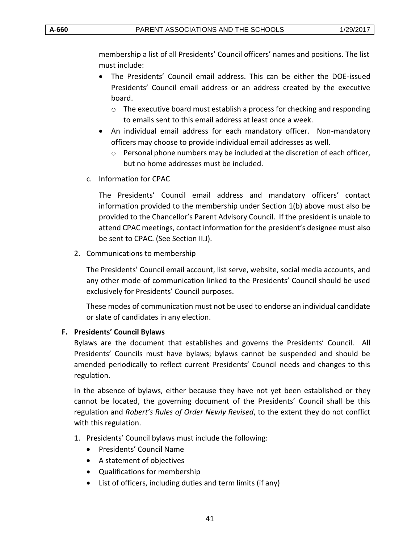membership a list of all Presidents' Council officers' names and positions. The list must include:

- The Presidents' Council email address. This can be either the DOE-issued Presidents' Council email address or an address created by the executive board.
	- $\circ$  The executive board must establish a process for checking and responding to emails sent to this email address at least once a week.
- An individual email address for each mandatory officer. Non-mandatory officers may choose to provide individual email addresses as well.
	- $\circ$  Personal phone numbers may be included at the discretion of each officer, but no home addresses must be included.
- c. Information for CPAC

The Presidents' Council email address and mandatory officers' contact information provided to the membership under Section 1(b) above must also be provided to the Chancellor's Parent Advisory Council. If the president is unable to attend CPAC meetings, contact information for the president's designee must also be sent to CPAC. (See Section II.J).

2. Communications to membership

The Presidents' Council email account, list serve, website, social media accounts, and any other mode of communication linked to the Presidents' Council should be used exclusively for Presidents' Council purposes.

These modes of communication must not be used to endorse an individual candidate or slate of candidates in any election.

# <span id="page-40-0"></span>**F. Presidents' Council Bylaws**

Bylaws are the document that establishes and governs the Presidents' Council. All Presidents' Councils must have bylaws; bylaws cannot be suspended and should be amended periodically to reflect current Presidents' Council needs and changes to this regulation.

In the absence of bylaws, either because they have not yet been established or they cannot be located, the governing document of the Presidents' Council shall be this regulation and *Robert's Rules of Order Newly Revised*, to the extent they do not conflict with this regulation.

- 1. Presidents' Council bylaws must include the following:
	- Presidents' Council Name
	- A statement of objectives
	- Qualifications for membership
	- List of officers, including duties and term limits (if any)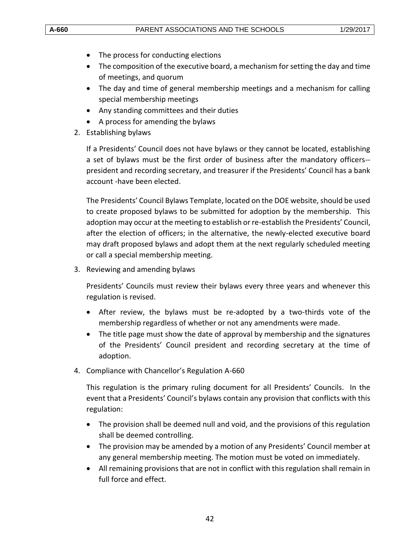- The process for conducting elections
- The composition of the executive board, a mechanism for setting the day and time of meetings, and quorum
- The day and time of general membership meetings and a mechanism for calling special membership meetings
- Any standing committees and their duties
- A process for amending the bylaws
- 2. Establishing bylaws

If a Presidents' Council does not have bylaws or they cannot be located, establishing a set of bylaws must be the first order of business after the mandatory officers- president and recording secretary, and treasurer if the Presidents' Council has a bank account -have been elected.

The Presidents' Council Bylaws Template, located on the DOE website, should be used to create proposed bylaws to be submitted for adoption by the membership. This adoption may occur at the meeting to establish or re-establish the Presidents' Council, after the election of officers; in the alternative, the newly-elected executive board may draft proposed bylaws and adopt them at the next regularly scheduled meeting or call a special membership meeting.

3. Reviewing and amending bylaws

Presidents' Councils must review their bylaws every three years and whenever this regulation is revised.

- After review, the bylaws must be re-adopted by a two-thirds vote of the membership regardless of whether or not any amendments were made.
- The title page must show the date of approval by membership and the signatures of the Presidents' Council president and recording secretary at the time of adoption.
- 4. Compliance with Chancellor's Regulation A-660

This regulation is the primary ruling document for all Presidents' Councils. In the event that a Presidents' Council's bylaws contain any provision that conflicts with this regulation:

- The provision shall be deemed null and void, and the provisions of this regulation shall be deemed controlling.
- The provision may be amended by a motion of any Presidents' Council member at any general membership meeting. The motion must be voted on immediately.
- All remaining provisions that are not in conflict with this regulation shall remain in full force and effect.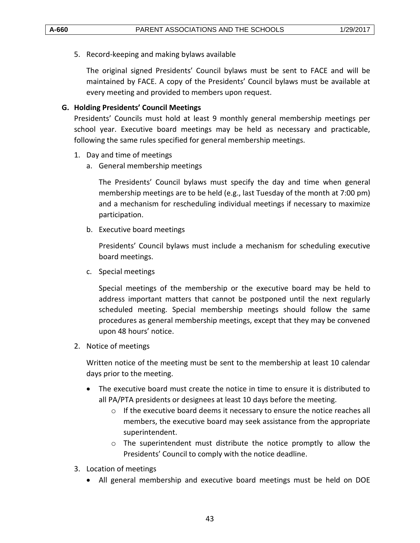5. Record-keeping and making bylaws available

The original signed Presidents' Council bylaws must be sent to FACE and will be maintained by FACE. A copy of the Presidents' Council bylaws must be available at every meeting and provided to members upon request.

## <span id="page-42-0"></span>**G. Holding Presidents' Council Meetings**

Presidents' Councils must hold at least 9 monthly general membership meetings per school year. Executive board meetings may be held as necessary and practicable, following the same rules specified for general membership meetings.

- 1. Day and time of meetings
	- a. General membership meetings

The Presidents' Council bylaws must specify the day and time when general membership meetings are to be held (e.g., last Tuesday of the month at 7:00 pm) and a mechanism for rescheduling individual meetings if necessary to maximize participation.

b. Executive board meetings

Presidents' Council bylaws must include a mechanism for scheduling executive board meetings.

c. Special meetings

Special meetings of the membership or the executive board may be held to address important matters that cannot be postponed until the next regularly scheduled meeting. Special membership meetings should follow the same procedures as general membership meetings, except that they may be convened upon 48 hours' notice.

2. Notice of meetings

Written notice of the meeting must be sent to the membership at least 10 calendar days prior to the meeting.

- The executive board must create the notice in time to ensure it is distributed to all PA/PTA presidents or designees at least 10 days before the meeting.
	- $\circ$  If the executive board deems it necessary to ensure the notice reaches all members, the executive board may seek assistance from the appropriate superintendent.
	- $\circ$  The superintendent must distribute the notice promptly to allow the Presidents' Council to comply with the notice deadline.
- 3. Location of meetings
	- All general membership and executive board meetings must be held on DOE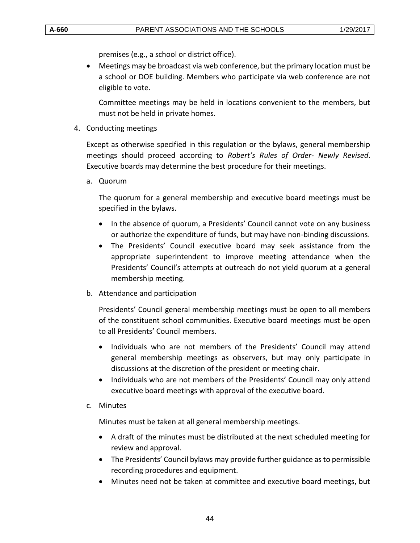premises (e.g., a school or district office).

 Meetings may be broadcast via web conference, but the primary location must be a school or DOE building. Members who participate via web conference are not eligible to vote.

Committee meetings may be held in locations convenient to the members, but must not be held in private homes.

4. Conducting meetings

Except as otherwise specified in this regulation or the bylaws, general membership meetings should proceed according to *Robert's Rules of Order- Newly Revised*. Executive boards may determine the best procedure for their meetings.

a. Quorum

The quorum for a general membership and executive board meetings must be specified in the bylaws.

- In the absence of quorum, a Presidents' Council cannot vote on any business or authorize the expenditure of funds, but may have non-binding discussions.
- The Presidents' Council executive board may seek assistance from the appropriate superintendent to improve meeting attendance when the Presidents' Council's attempts at outreach do not yield quorum at a general membership meeting.
- b. Attendance and participation

Presidents' Council general membership meetings must be open to all members of the constituent school communities. Executive board meetings must be open to all Presidents' Council members.

- Individuals who are not members of the Presidents' Council may attend general membership meetings as observers, but may only participate in discussions at the discretion of the president or meeting chair.
- Individuals who are not members of the Presidents' Council may only attend executive board meetings with approval of the executive board.
- c. Minutes

Minutes must be taken at all general membership meetings.

- A draft of the minutes must be distributed at the next scheduled meeting for review and approval.
- The Presidents' Council bylaws may provide further guidance as to permissible recording procedures and equipment.
- Minutes need not be taken at committee and executive board meetings, but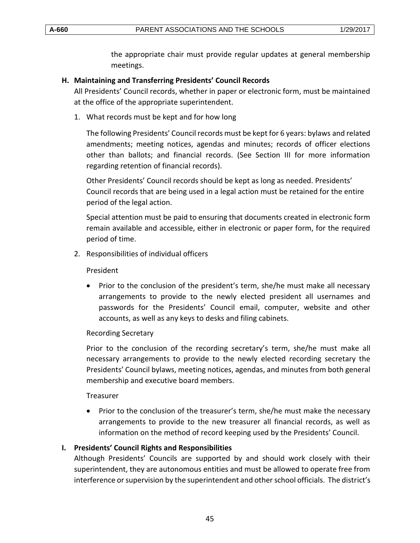the appropriate chair must provide regular updates at general membership meetings.

#### <span id="page-44-0"></span>**H. Maintaining and Transferring Presidents' Council Records**

All Presidents' Council records, whether in paper or electronic form, must be maintained at the office of the appropriate superintendent.

1. What records must be kept and for how long

The following Presidents' Council records must be kept for 6 years: bylaws and related amendments; meeting notices, agendas and minutes; records of officer elections other than ballots; and financial records. (See Section III for more information regarding retention of financial records).

Other Presidents' Council records should be kept as long as needed. Presidents' Council records that are being used in a legal action must be retained for the entire period of the legal action.

Special attention must be paid to ensuring that documents created in electronic form remain available and accessible, either in electronic or paper form, for the required period of time.

2. Responsibilities of individual officers

President

• Prior to the conclusion of the president's term, she/he must make all necessary arrangements to provide to the newly elected president all usernames and passwords for the Presidents' Council email, computer, website and other accounts, as well as any keys to desks and filing cabinets.

#### Recording Secretary

Prior to the conclusion of the recording secretary's term, she/he must make all necessary arrangements to provide to the newly elected recording secretary the Presidents' Council bylaws, meeting notices, agendas, and minutes from both general membership and executive board members.

## Treasurer

• Prior to the conclusion of the treasurer's term, she/he must make the necessary arrangements to provide to the new treasurer all financial records, as well as information on the method of record keeping used by the Presidents' Council.

# <span id="page-44-1"></span>**I. Presidents' Council Rights and Responsibilities**

Although Presidents' Councils are supported by and should work closely with their superintendent, they are autonomous entities and must be allowed to operate free from interference or supervision by the superintendent and other school officials. The district's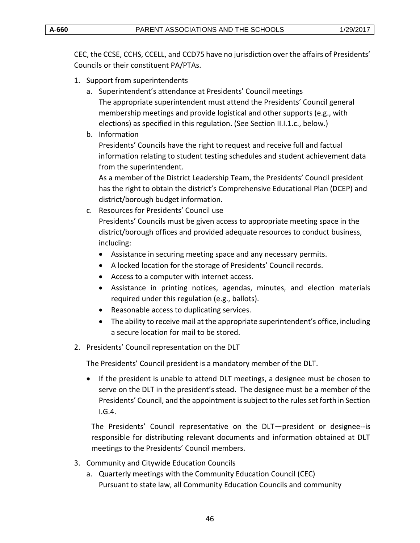CEC, the CCSE, CCHS, CCELL, and CCD75 have no jurisdiction over the affairs of Presidents' Councils or their constituent PA/PTAs.

- 1. Support from superintendents
	- a. Superintendent's attendance at Presidents' Council meetings The appropriate superintendent must attend the Presidents' Council general membership meetings and provide logistical and other supports (e.g., with elections) as specified in this regulation. (See Section II.I.1.c., below.)
	- b. Information

Presidents' Councils have the right to request and receive full and factual information relating to student testing schedules and student achievement data from the superintendent.

As a member of the District Leadership Team, the Presidents' Council president has the right to obtain the district's Comprehensive Educational Plan (DCEP) and district/borough budget information.

- c. Resources for Presidents' Council use Presidents' Councils must be given access to appropriate meeting space in the district/borough offices and provided adequate resources to conduct business, including:
	- Assistance in securing meeting space and any necessary permits.
	- A locked location for the storage of Presidents' Council records.
	- Access to a computer with internet access.
	- Assistance in printing notices, agendas, minutes, and election materials required under this regulation (e.g., ballots).
	- Reasonable access to duplicating services.
	- The ability to receive mail at the appropriate superintendent's office, including a secure location for mail to be stored.
- 2. Presidents' Council representation on the DLT

The Presidents' Council president is a mandatory member of the DLT.

 If the president is unable to attend DLT meetings, a designee must be chosen to serve on the DLT in the president's stead. The designee must be a member of the Presidents' Council, and the appointment is subject to the rules set forth in Section I.G.4.

The Presidents' Council representative on the DLT—president or designee--is responsible for distributing relevant documents and information obtained at DLT meetings to the Presidents' Council members.

- 3. Community and Citywide Education Councils
	- a. Quarterly meetings with the Community Education Council (CEC) Pursuant to state law, all Community Education Councils and community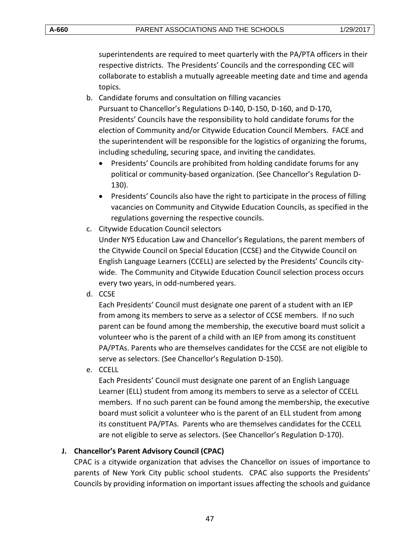superintendents are required to meet quarterly with the PA/PTA officers in their respective districts. The Presidents' Councils and the corresponding CEC will collaborate to establish a mutually agreeable meeting date and time and agenda topics.

- b. Candidate forums and consultation on filling vacancies Pursuant to Chancellor's Regulations D-140, D-150, D-160, and D-170, Presidents' Councils have the responsibility to hold candidate forums for the election of Community and/or Citywide Education Council Members. FACE and the superintendent will be responsible for the logistics of organizing the forums, including scheduling, securing space, and inviting the candidates.
	- Presidents' Councils are prohibited from holding candidate forums for any political or community-based organization. (See Chancellor's Regulation D-130).
	- Presidents' Councils also have the right to participate in the process of filling vacancies on Community and Citywide Education Councils, as specified in the regulations governing the respective councils.
- c. Citywide Education Council selectors Under NYS Education Law and Chancellor's Regulations, the parent members of the Citywide Council on Special Education (CCSE) and the Citywide Council on English Language Learners (CCELL) are selected by the Presidents' Councils citywide. The Community and Citywide Education Council selection process occurs every two years, in odd-numbered years.
- d. CCSE

Each Presidents' Council must designate one parent of a student with an IEP from among its members to serve as a selector of CCSE members. If no such parent can be found among the membership, the executive board must solicit a volunteer who is the parent of a child with an IEP from among its constituent PA/PTAs. Parents who are themselves candidates for the CCSE are not eligible to serve as selectors. (See Chancellor's Regulation D-150).

e. CCELL

Each Presidents' Council must designate one parent of an English Language Learner (ELL) student from among its members to serve as a selector of CCELL members. If no such parent can be found among the membership, the executive board must solicit a volunteer who is the parent of an ELL student from among its constituent PA/PTAs. Parents who are themselves candidates for the CCELL are not eligible to serve as selectors. (See Chancellor's Regulation D-170).

#### <span id="page-46-0"></span>**J. Chancellor's Parent Advisory Council (CPAC)**

CPAC is a citywide organization that advises the Chancellor on issues of importance to parents of New York City public school students. CPAC also supports the Presidents' Councils by providing information on important issues affecting the schools and guidance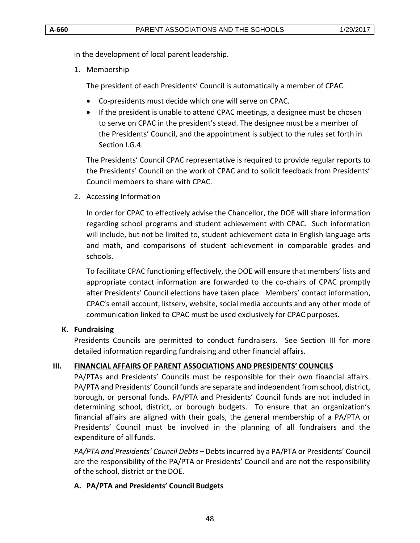in the development of local parent leadership.

1. Membership

The president of each Presidents' Council is automatically a member of CPAC.

- Co-presidents must decide which one will serve on CPAC.
- If the president is unable to attend CPAC meetings, a designee must be chosen to serve on CPAC in the president's stead. The designee must be a member of the Presidents' Council, and the appointment is subject to the rules set forth in Section I.G.4.

The Presidents' Council CPAC representative is required to provide regular reports to the Presidents' Council on the work of CPAC and to solicit feedback from Presidents' Council members to share with CPAC.

2. Accessing Information

In order for CPAC to effectively advise the Chancellor, the DOE will share information regarding school programs and student achievement with CPAC. Such information will include, but not be limited to, student achievement data in English language arts and math, and comparisons of student achievement in comparable grades and schools.

To facilitate CPAC functioning effectively, the DOE will ensure that members' lists and appropriate contact information are forwarded to the co-chairs of CPAC promptly after Presidents' Council elections have taken place. Members' contact information, CPAC's email account, listserv, website, social media accounts and any other mode of communication linked to CPAC must be used exclusively for CPAC purposes.

#### <span id="page-47-0"></span>**K. Fundraising**

Presidents Councils are permitted to conduct fundraisers. See Section III for more detailed information regarding fundraising and other financial affairs.

# <span id="page-47-1"></span>**III. FINANCIAL AFFAIRS OF PARENT ASSOCIATIONS AND PRESIDENTS' COUNCILS**

PA/PTAs and Presidents' Councils must be responsible for their own financial affairs. PA/PTA and Presidents' Council funds are separate and independent from school, district, borough, or personal funds. PA/PTA and Presidents' Council funds are not included in determining school, district, or borough budgets. To ensure that an organization's financial affairs are aligned with their goals, the general membership of a PA/PTA or Presidents' Council must be involved in the planning of all fundraisers and the expenditure of all funds.

*PA/PTA and Presidents' Council Debts* – Debts incurred by a PA/PTA or Presidents' Council are the responsibility of the PA/PTA or Presidents' Council and are not the responsibility of the school, district or the DOE.

# <span id="page-47-2"></span>**A. PA/PTA and Presidents' Council Budgets**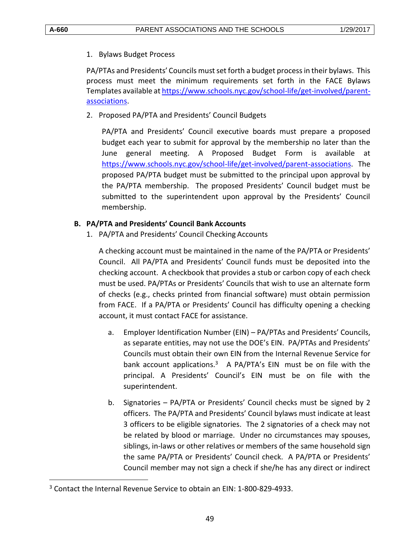$\overline{a}$ 

#### 1. Bylaws Budget Process

PA/PTAs and Presidents' Councils must set forth a budget process in their bylaws. This process must meet the minimum requirements set forth in the FACE Bylaws Templates available a[t https://www.schools.nyc.gov/school-life/get-involved/parent](https://www.schools.nyc.gov/school-life/get-involved/parent-associations)[associations.](https://www.schools.nyc.gov/school-life/get-involved/parent-associations)

2. Proposed PA/PTA and Presidents' Council Budgets

PA/PTA and Presidents' Council executive boards must prepare a proposed budget each year to submit for approval by the membership no later than the June general meeting. A Proposed Budget Form is available at [https://www.schools.nyc.gov/school-life/get-involved/parent-associations.](https://www.schools.nyc.gov/school-life/get-involved/parent-associations) The proposed PA/PTA budget must be submitted to the principal upon approval by the PA/PTA membership. The proposed Presidents' Council budget must be submitted to the superintendent upon approval by the Presidents' Council membership.

## <span id="page-48-0"></span>**B. PA/PTA and Presidents' Council Bank Accounts**

1. PA/PTA and Presidents' Council Checking Accounts

A checking account must be maintained in the name of the PA/PTA or Presidents' Council. All PA/PTA and Presidents' Council funds must be deposited into the checking account. A checkbook that provides a stub or carbon copy of each check must be used. PA/PTAs or Presidents' Councils that wish to use an alternate form of checks (e.g., checks printed from financial software) must obtain permission from FACE. If a PA/PTA or Presidents' Council has difficulty opening a checking account, it must contact FACE for assistance.

- a. Employer Identification Number (EIN) PA/PTAs and Presidents' Councils, as separate entities, may not use the DOE's EIN. PA/PTAs and Presidents' Councils must obtain their own EIN from the Internal Revenue Service for bank account applications. $3$  A PA/PTA's EIN must be on file with the principal. A Presidents' Council's EIN must be on file with the superintendent.
- b. Signatories PA/PTA or Presidents' Council checks must be signed by 2 officers. The PA/PTA and Presidents' Council bylaws must indicate at least 3 officers to be eligible signatories. The 2 signatories of a check may not be related by blood or marriage. Under no circumstances may spouses, siblings, in-laws or other relatives or members of the same household sign the same PA/PTA or Presidents' Council check. A PA/PTA or Presidents' Council member may not sign a check if she/he has any direct or indirect

<sup>3</sup> Contact the Internal Revenue Service to obtain an EIN: 1-800-829-4933.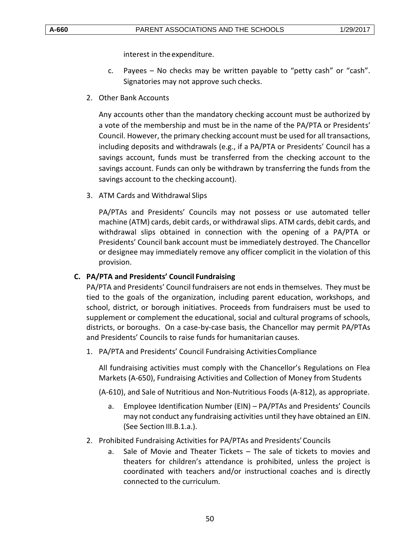interest in the expenditure.

- c. Payees  $-$  No checks may be written payable to "petty cash" or "cash". Signatories may not approve such checks.
- 2. Other Bank Accounts

Any accounts other than the mandatory checking account must be authorized by a vote of the membership and must be in the name of the PA/PTA or Presidents' Council. However, the primary checking account must be used for all transactions, including deposits and withdrawals (e.g., if a PA/PTA or Presidents' Council has a savings account, funds must be transferred from the checking account to the savings account. Funds can only be withdrawn by transferring the funds from the savings account to the checking account).

3. ATM Cards and Withdrawal Slips

PA/PTAs and Presidents' Councils may not possess or use automated teller machine (ATM) cards, debit cards, or withdrawal slips. ATM cards, debit cards, and withdrawal slips obtained in connection with the opening of a PA/PTA or Presidents' Council bank account must be immediately destroyed. The Chancellor or designee may immediately remove any officer complicit in the violation of this provision.

#### <span id="page-49-0"></span>**C. PA/PTA and Presidents' Council Fundraising**

PA/PTA and Presidents' Council fundraisers are not ends in themselves. They must be tied to the goals of the organization, including parent education, workshops, and school, district, or borough initiatives. Proceeds from fundraisers must be used to supplement or complement the educational, social and cultural programs of schools, districts, or boroughs. On a case-by-case basis, the Chancellor may permit PA/PTAs and Presidents' Councils to raise funds for humanitarian causes.

1. PA/PTA and Presidents' Council Fundraising ActivitiesCompliance

All fundraising activities must comply with the Chancellor's Regulations on Flea Markets (A-650), Fundraising Activities and Collection of Money from Students

(A-610), and Sale of Nutritious and Non-Nutritious Foods (A-812), as appropriate.

- a. Employee Identification Number (EIN) PA/PTAs and Presidents' Councils may not conduct any fundraising activities until they have obtained an EIN. (See Section III.B.1.a.).
- 2. Prohibited Fundraising Activities for PA/PTAs and Presidents'Councils
	- a. Sale of Movie and Theater Tickets The sale of tickets to movies and theaters for children's attendance is prohibited, unless the project is coordinated with teachers and/or instructional coaches and is directly connected to the curriculum.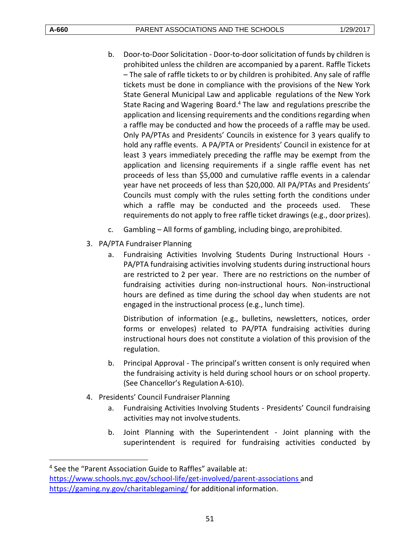$\overline{a}$ 

- b. Door-to-Door Solicitation Door-to-door solicitation of funds by children is prohibited unless the children are accompanied by aparent. Raffle Tickets – The sale of raffle tickets to or by children is prohibited. Any sale of raffle tickets must be done in compliance with the provisions of the New York State General Municipal Law and applicable regulations of the New York State Racing and Wagering Board.<sup>4</sup> The law and regulations prescribe the application and licensing requirements and the conditions regarding when a raffle may be conducted and how the proceeds of a raffle may be used. Only PA/PTAs and Presidents' Councils in existence for 3 years qualify to hold any raffle events. A PA/PTA or Presidents' Council in existence for at least 3 years immediately preceding the raffle may be exempt from the application and licensing requirements if a single raffle event has net proceeds of less than \$5,000 and cumulative raffle events in a calendar year have net proceeds of less than \$20,000. All PA/PTAs and Presidents' Councils must comply with the rules setting forth the conditions under which a raffle may be conducted and the proceeds used. These requirements do not apply to free raffle ticket drawings (e.g., door prizes).
- c. Gambling All forms of gambling, including bingo, areprohibited.
- 3. PA/PTA Fundraiser Planning
	- a. Fundraising Activities Involving Students During Instructional Hours PA/PTA fundraising activities involving students during instructional hours are restricted to 2 per year. There are no restrictions on the number of fundraising activities during non-instructional hours. Non-instructional hours are defined as time during the school day when students are not engaged in the instructional process (e.g., lunch time).

Distribution of information (e.g., bulletins, newsletters, notices, order forms or envelopes) related to PA/PTA fundraising activities during instructional hours does not constitute a violation of this provision of the regulation.

- b. Principal Approval The principal's written consent is only required when the fundraising activity is held during school hours or on school property. (See Chancellor's Regulation A-610).
- 4. Presidents' Council Fundraiser Planning
	- a. Fundraising Activities Involving Students Presidents' Council fundraising activities may not involve students.
	- b. Joint Planning with the Superintendent Joint planning with the superintendent is required for fundraising activities conducted by

<sup>4</sup> See the "Parent Association Guide to Raffles" available at: <https://www.schools.nyc.gov/school-life/get-involved/parent-associations> and <https://gaming.ny.gov/charitablegaming/> for additional information.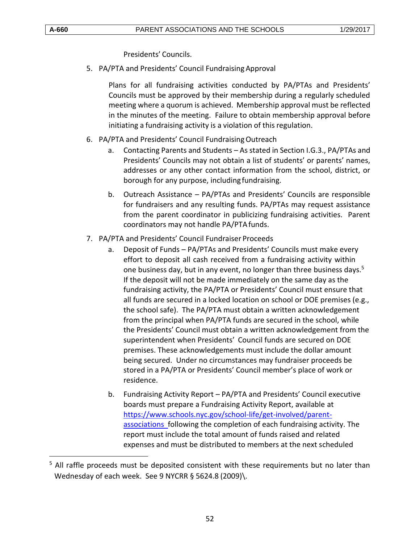$\overline{a}$ 

Presidents' Councils.

5. PA/PTA and Presidents' Council Fundraising Approval

Plans for all fundraising activities conducted by PA/PTAs and Presidents' Councils must be approved by their membership during a regularly scheduled meeting where a quorum is achieved. Membership approval must be reflected in the minutes of the meeting. Failure to obtain membership approval before initiating a fundraising activity is a violation of this regulation.

# 6. PA/PTA and Presidents' Council Fundraising Outreach

- a. Contacting Parents and Students As stated in Section I.G.3., PA/PTAs and Presidents' Councils may not obtain a list of students' or parents' names, addresses or any other contact information from the school, district, or borough for any purpose, including fundraising.
- b. Outreach Assistance PA/PTAs and Presidents' Councils are responsible for fundraisers and any resulting funds. PA/PTAs may request assistance from the parent coordinator in publicizing fundraising activities. Parent coordinators may not handle PA/PTAfunds.
- 7. PA/PTA and Presidents' Council Fundraiser Proceeds
	- a. Deposit of Funds PA/PTAs and Presidents' Councils must make every effort to deposit all cash received from a fundraising activity within one business day, but in any event, no longer than three business days.<sup>5</sup> If the deposit will not be made immediately on the same day as the fundraising activity, the PA/PTA or Presidents' Council must ensure that all funds are secured in a locked location on school or DOE premises (e.g., the school safe). The PA/PTA must obtain a written acknowledgement from the principal when PA/PTA funds are secured in the school, while the Presidents' Council must obtain a written acknowledgement from the superintendent when Presidents' Council funds are secured on DOE premises. These acknowledgements must include the dollar amount being secured. Under no circumstances may fundraiser proceeds be stored in a PA/PTA or Presidents' Council member's place of work or residence.
	- b. Fundraising Activity Report PA/PTA and Presidents' Council executive boards must prepare a Fundraising Activity Report, available at [https://www.schools.nyc.gov/school-life/get-involved/parent](https://www.schools.nyc.gov/school-life/get-involved/parent-associations)[associations f](https://www.schools.nyc.gov/school-life/get-involved/parent-associations)ollowing the completion of each fundraising activity. The report must include the total amount of funds raised and related expenses and must be distributed to members at the next scheduled

<sup>&</sup>lt;sup>5</sup> All raffle proceeds must be deposited consistent with these requirements but no later than Wednesday of each week. See 9 NYCRR § 5624.8 (2009)\.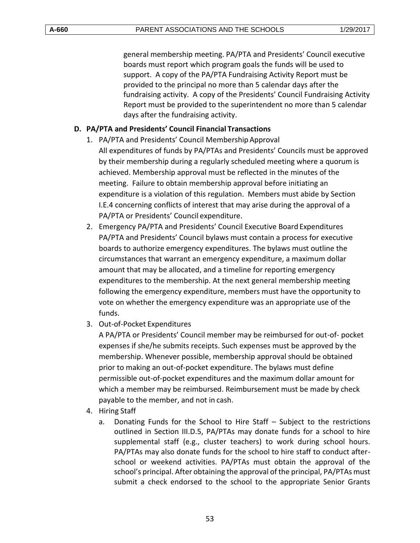general membership meeting. PA/PTA and Presidents' Council executive boards must report which program goals the funds will be used to support. A copy of the PA/PTA Fundraising Activity Report must be provided to the principal no more than 5 calendar days after the fundraising activity. A copy of the Presidents' Council Fundraising Activity Report must be provided to the superintendent no more than 5 calendar days after the fundraising activity.

## <span id="page-52-0"></span>**D. PA/PTA and Presidents' Council Financial Transactions**

- 1. PA/PTA and Presidents' Council Membership Approval All expenditures of funds by PA/PTAs and Presidents' Councils must be approved by their membership during a regularly scheduled meeting where a quorum is achieved. Membership approval must be reflected in the minutes of the meeting. Failure to obtain membership approval before initiating an expenditure is a violation of this regulation. Members must abide by Section I.E.4 concerning conflicts of interest that may arise during the approval of a PA/PTA or Presidents' Council expenditure.
- 2. Emergency PA/PTA and Presidents' Council Executive BoardExpenditures PA/PTA and Presidents' Council bylaws must contain a process for executive boards to authorize emergency expenditures. The bylaws must outline the circumstances that warrant an emergency expenditure, a maximum dollar amount that may be allocated, and a timeline for reporting emergency expenditures to the membership. At the next general membership meeting following the emergency expenditure, members must have the opportunity to vote on whether the emergency expenditure was an appropriate use of the funds.
- 3. Out-of-Pocket Expenditures

A PA/PTA or Presidents' Council member may be reimbursed for out-of- pocket expenses if she/he submits receipts. Such expenses must be approved by the membership. Whenever possible, membership approval should be obtained prior to making an out-of-pocket expenditure. The bylaws must define permissible out-of-pocket expenditures and the maximum dollar amount for which a member may be reimbursed. Reimbursement must be made by check payable to the member, and not in cash.

- 4. Hiring Staff
	- a. Donating Funds for the School to Hire Staff Subject to the restrictions outlined in Section III.D.5, PA/PTAs may donate funds for a school to hire supplemental staff (e.g., cluster teachers) to work during school hours. PA/PTAs may also donate funds for the school to hire staff to conduct afterschool or weekend activities. PA/PTAs must obtain the approval of the school's principal. After obtaining the approval of the principal, PA/PTAs must submit a check endorsed to the school to the appropriate Senior Grants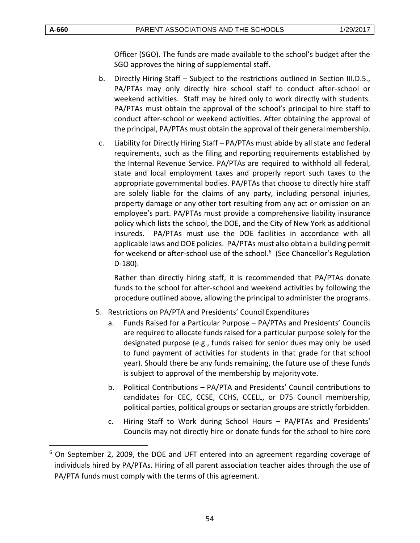$\overline{a}$ 

Officer (SGO). The funds are made available to the school's budget after the SGO approves the hiring of supplemental staff.

- b. Directly Hiring Staff Subject to the restrictions outlined in Section III.D.5., PA/PTAs may only directly hire school staff to conduct after-school or weekend activities. Staff may be hired only to work directly with students. PA/PTAs must obtain the approval of the school's principal to hire staff to conduct after-school or weekend activities. After obtaining the approval of the principal, PA/PTAs must obtain the approval of their general membership.
- c. Liability for Directly Hiring Staff PA/PTAs must abide by all state and federal requirements, such as the filing and reporting requirements established by the Internal Revenue Service. PA/PTAs are required to withhold all federal, state and local employment taxes and properly report such taxes to the appropriate governmental bodies. PA/PTAs that choose to directly hire staff are solely liable for the claims of any party, including personal injuries, property damage or any other tort resulting from any act or omission on an employee's part. PA/PTAs must provide a comprehensive liability insurance policy which lists the school, the DOE, and the City of New York as additional insureds. PA/PTAs must use the DOE facilities in accordance with all applicable laws and DOE policies. PA/PTAs must also obtain a building permit for weekend or after-school use of the school. $6$  (See Chancellor's Regulation D-180).

Rather than directly hiring staff, it is recommended that PA/PTAs donate funds to the school for after-school and weekend activities by following the procedure outlined above, allowing the principal to administer the programs.

- 5. Restrictions on PA/PTA and Presidents' CouncilExpenditures
	- a. Funds Raised for a Particular Purpose PA/PTAs and Presidents' Councils are required to allocate funds raised for a particular purpose solely for the designated purpose (e.g., funds raised for senior dues may only be used to fund payment of activities for students in that grade for that school year). Should there be any funds remaining, the future use of these funds is subject to approval of the membership by majorityvote.
	- b. Political Contributions PA/PTA and Presidents' Council contributions to candidates for CEC, CCSE, CCHS, CCELL, or D75 Council membership, political parties, political groups or sectarian groups are strictly forbidden.
	- c. Hiring Staff to Work during School Hours PA/PTAs and Presidents' Councils may not directly hire or donate funds for the school to hire core

 $6$  On September 2, 2009, the DOE and UFT entered into an agreement regarding coverage of individuals hired by PA/PTAs. Hiring of all parent association teacher aides through the use of PA/PTA funds must comply with the terms of this agreement.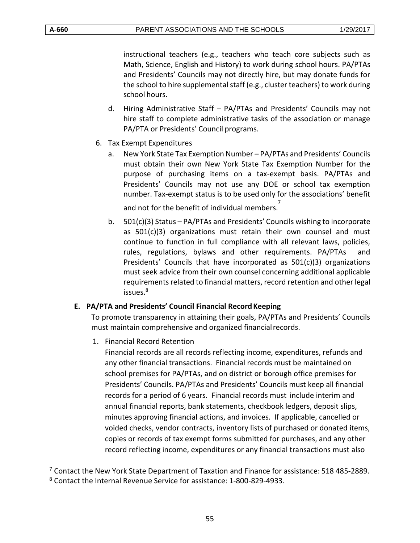$\overline{a}$ 

instructional teachers (e.g., teachers who teach core subjects such as Math, Science, English and History) to work during school hours. PA/PTAs and Presidents' Councils may not directly hire, but may donate funds for the school to hire supplemental staff (e.g., cluster teachers) to work during school hours.

- d. Hiring Administrative Staff PA/PTAs and Presidents' Councils may not hire staff to complete administrative tasks of the association or manage PA/PTA or Presidents' Council programs.
- 6. Tax Exempt Expenditures
	- a. New York State Tax Exemption Number PA/PTAs and Presidents' Councils must obtain their own New York State Tax Exemption Number for the purpose of purchasing items on a tax-exempt basis. PA/PTAs and Presidents' Councils may not use any DOE or school tax exemption number. Tax-exempt status is to be used only for the associations' benefit and not for the benefit of individual members.<sup>7</sup>
	- b. 501(c)(3) Status PA/PTAs and Presidents' Councils wishing to incorporate as 501(c)(3) organizations must retain their own counsel and must continue to function in full compliance with all relevant laws, policies, rules, regulations, bylaws and other requirements. PA/PTAs and Presidents' Councils that have incorporated as  $501(c)(3)$  organizations must seek advice from their own counsel concerning additional applicable requirements related to financial matters, record retention and other legal issues.<sup>8</sup>

#### <span id="page-54-0"></span>**E. PA/PTA and Presidents' Council Financial Record Keeping**

To promote transparency in attaining their goals, PA/PTAs and Presidents' Councils must maintain comprehensive and organized financialrecords.

1. Financial Record Retention

Financial records are all records reflecting income, expenditures, refunds and any other financial transactions. Financial records must be maintained on school premises for PA/PTAs, and on district or borough office premises for Presidents' Councils. PA/PTAs and Presidents' Councils must keep all financial records for a period of 6 years. Financial records must include interim and annual financial reports, bank statements, checkbook ledgers, deposit slips, minutes approving financial actions, and invoices. If applicable, cancelled or voided checks, vendor contracts, inventory lists of purchased or donated items, copies or records of tax exempt forms submitted for purchases, and any other record reflecting income, expenditures or any financial transactions must also

<sup>&</sup>lt;sup>7</sup> Contact the New York State Department of Taxation and Finance for assistance: 518 485-2889.

<sup>8</sup> Contact the Internal Revenue Service for assistance: 1-800-829-4933.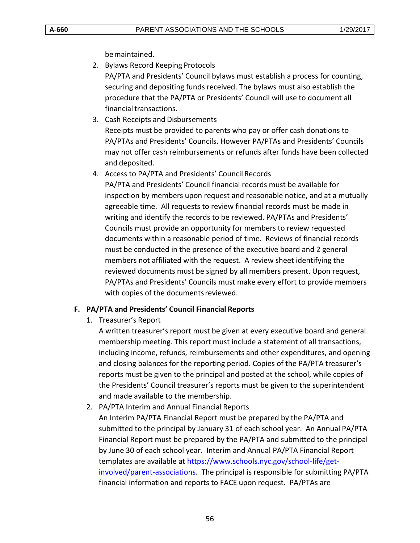bemaintained.

- 2. Bylaws Record Keeping Protocols PA/PTA and Presidents' Council bylaws must establish a process for counting, securing and depositing funds received. The bylaws must also establish the procedure that the PA/PTA or Presidents' Council will use to document all financial transactions.
- 3. Cash Receipts and Disbursements Receipts must be provided to parents who pay or offer cash donations to PA/PTAs and Presidents' Councils. However PA/PTAs and Presidents' Councils may not offer cash reimbursements or refunds after funds have been collected and deposited.
- 4. Access to PA/PTA and Presidents' Council Records

PA/PTA and Presidents' Council financial records must be available for inspection by members upon request and reasonable notice, and at a mutually agreeable time. All requests to review financial records must be made in writing and identify the records to be reviewed. PA/PTAs and Presidents' Councils must provide an opportunity for members to review requested documents within a reasonable period of time. Reviews of financial records must be conducted in the presence of the executive board and 2 general members not affiliated with the request. A review sheet identifying the reviewed documents must be signed by all members present. Upon request, PA/PTAs and Presidents' Councils must make every effort to provide members with copies of the documentsreviewed.

#### <span id="page-55-0"></span>**F. PA/PTA and Presidents' Council Financial Reports**

1. Treasurer's Report

A written treasurer's report must be given at every executive board and general membership meeting. This report must include a statement of all transactions, including income, refunds, reimbursements and other expenditures, and opening and closing balances for the reporting period. Copies of the PA/PTA treasurer's reports must be given to the principal and posted at the school, while copies of the Presidents' Council treasurer's reports must be given to the superintendent and made available to the membership.

2. PA/PTA Interim and Annual Financial Reports

An Interim PA/PTA Financial Report must be prepared by the PA/PTA and submitted to the principal by January 31 of each school year. An Annual PA/PTA Financial Report must be prepared by the PA/PTA and submitted to the principal by June 30 of each school year. Interim and Annual PA/PTA Financial Report templates are available at [https://www.schools.nyc.gov/school-life/get](https://www.schools.nyc.gov/school-life/get-involved/parent-associations)[involved/parent-associations.](https://www.schools.nyc.gov/school-life/get-involved/parent-associations) The principal is responsible for submitting PA/PTA financial information and reports to FACE upon request. PA/PTAs are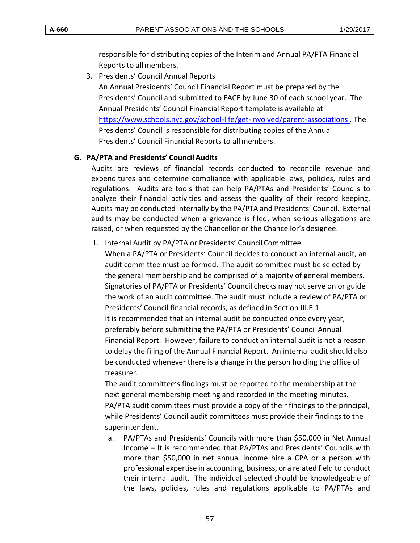responsible for distributing copies of the Interim and Annual PA/PTA Financial Reports to allmembers.

3. Presidents' Council Annual Reports

An Annual Presidents' Council Financial Report must be prepared by the Presidents' Council and submitted to FACE by June 30 of each school year. The Annual Presidents' Council Financial Report template is available at <https://www.schools.nyc.gov/school-life/get-involved/parent-associations> . The Presidents' Council is responsible for distributing copies of the Annual Presidents' Council Financial Reports to allmembers.

## <span id="page-56-0"></span>**G. PA/PTA and Presidents' Council Audits**

Audits are reviews of financial records conducted to reconcile revenue and expenditures and determine compliance with applicable laws, policies, rules and regulations. Audits are tools that can help PA/PTAs and Presidents' Councils to analyze their financial activities and assess the quality of their record keeping. Audits may be conducted internally by the PA/PTA and Presidents' Council. External audits may be conducted when a grievance is filed, when serious allegations are raised, or when requested by the Chancellor or the Chancellor's designee.

1. Internal Audit by PA/PTA or Presidents' Council Committee

When a PA/PTA or Presidents' Council decides to conduct an internal audit, an audit committee must be formed. The audit committee must be selected by the general membership and be comprised of a majority of general members. Signatories of PA/PTA or Presidents' Council checks may not serve on or guide the work of an audit committee. The audit must include a review of PA/PTA or Presidents' Council financial records, as defined in Section III.E.1. It is recommended that an internal audit be conducted once every year, preferably before submitting the PA/PTA or Presidents' Council Annual Financial Report. However, failure to conduct an internal audit is not a reason to delay the filing of the Annual Financial Report. An internal audit should also be conducted whenever there is a change in the person holding the office of treasurer.

The audit committee's findings must be reported to the membership at the next general membership meeting and recorded in the meeting minutes. PA/PTA audit committees must provide a copy of their findings to the principal, while Presidents' Council audit committees must provide their findings to the superintendent.

a. PA/PTAs and Presidents' Councils with more than \$50,000 in Net Annual Income – It is recommended that PA/PTAs and Presidents' Councils with more than \$50,000 in net annual income hire a CPA or a person with professional expertise in accounting, business, or a related field to conduct their internal audit. The individual selected should be knowledgeable of the laws, policies, rules and regulations applicable to PA/PTAs and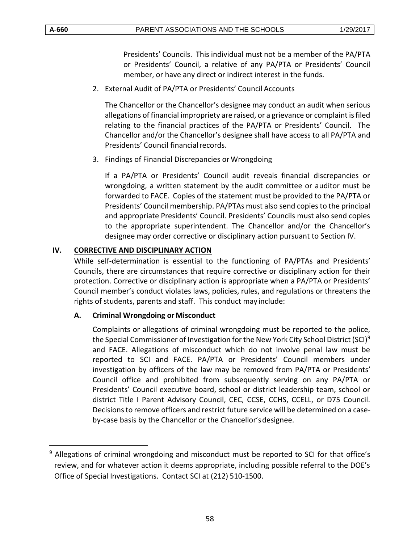$\overline{a}$ 

Presidents' Councils. This individual must not be a member of the PA/PTA or Presidents' Council, a relative of any PA/PTA or Presidents' Council member, or have any direct or indirect interest in the funds.

2. External Audit of PA/PTA or Presidents' Council Accounts

The Chancellor or the Chancellor's designee may conduct an audit when serious allegations of financial impropriety are raised, or a grievance or complaint is filed relating to the financial practices of the PA/PTA or Presidents' Council. The Chancellor and/or the Chancellor's designee shall have access to all PA/PTA and Presidents' Council financialrecords.

3. Findings of Financial Discrepancies or Wrongdoing

If a PA/PTA or Presidents' Council audit reveals financial discrepancies or wrongdoing, a written statement by the audit committee or auditor must be forwarded to FACE. Copies of the statement must be provided to the PA/PTA or Presidents' Council membership. PA/PTAs must also send copies to the principal and appropriate Presidents' Council. Presidents' Councils must also send copies to the appropriate superintendent. The Chancellor and/or the Chancellor's designee may order corrective or disciplinary action pursuant to Section IV.

## <span id="page-57-0"></span>**IV. CORRECTIVE AND DISCIPLINARY ACTION**

While self-determination is essential to the functioning of PA/PTAs and Presidents' Councils, there are circumstances that require corrective or disciplinary action for their protection. Corrective or disciplinary action is appropriate when a PA/PTA or Presidents' Council member's conduct violates laws, policies, rules, and regulations or threatens the rights of students, parents and staff. This conduct may include:

#### **A. Criminal Wrongdoing or Misconduct**

Complaints or allegations of criminal wrongdoing must be reported to the police, the Special Commissioner of Investigation for the New York City School District (SCI)<sup>9</sup> and FACE. Allegations of misconduct which do not involve penal law must be reported to SCI and FACE. PA/PTA or Presidents' Council members under investigation by officers of the law may be removed from PA/PTA or Presidents' Council office and prohibited from subsequently serving on any PA/PTA or Presidents' Council executive board, school or district leadership team, school or district Title I Parent Advisory Council, CEC, CCSE, CCHS, CCELL, or D75 Council. Decisions to remove officers and restrict future service will be determined on a caseby-case basis by the Chancellor or the Chancellor'sdesignee.

<sup>&</sup>lt;sup>9</sup> Allegations of criminal wrongdoing and misconduct must be reported to SCI for that office's review, and for whatever action it deems appropriate, including possible referral to the DOE's Office of Special Investigations. Contact SCI at (212) 510-1500.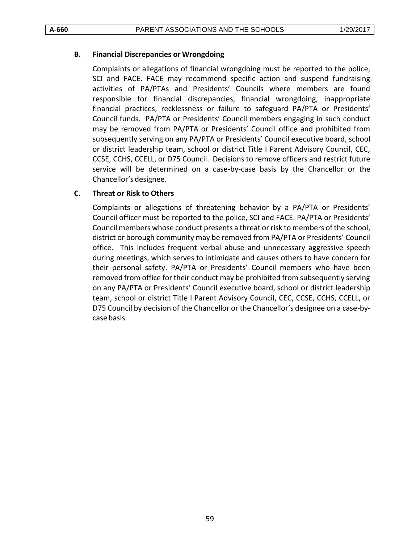#### <span id="page-58-0"></span>**B. Financial Discrepancies or Wrongdoing**

Complaints or allegations of financial wrongdoing must be reported to the police, SCI and FACE. FACE may recommend specific action and suspend fundraising activities of PA/PTAs and Presidents' Councils where members are found responsible for financial discrepancies, financial wrongdoing, inappropriate financial practices, recklessness or failure to safeguard PA/PTA or Presidents' Council funds. PA/PTA or Presidents' Council members engaging in such conduct may be removed from PA/PTA or Presidents' Council office and prohibited from subsequently serving on any PA/PTA or Presidents' Council executive board, school or district leadership team, school or district Title I Parent Advisory Council, CEC, CCSE, CCHS, CCELL, or D75 Council. Decisions to remove officers and restrict future service will be determined on a case-by-case basis by the Chancellor or the Chancellor's designee.

## <span id="page-58-1"></span>**C. Threat or Risk to Others**

Complaints or allegations of threatening behavior by a PA/PTA or Presidents' Council officer must be reported to the police, SCI and FACE. PA/PTA or Presidents' Council members whose conduct presents a threat or risk to members of the school, district or borough community may be removed from PA/PTA or Presidents' Council office. This includes frequent verbal abuse and unnecessary aggressive speech during meetings, which serves to intimidate and causes others to have concern for their personal safety. PA/PTA or Presidents' Council members who have been removed from office for their conduct may be prohibited from subsequently serving on any PA/PTA or Presidents' Council executive board, school or district leadership team, school or district Title I Parent Advisory Council, CEC, CCSE, CCHS, CCELL, or D75 Council by decision of the Chancellor or the Chancellor's designee on a case-bycase basis.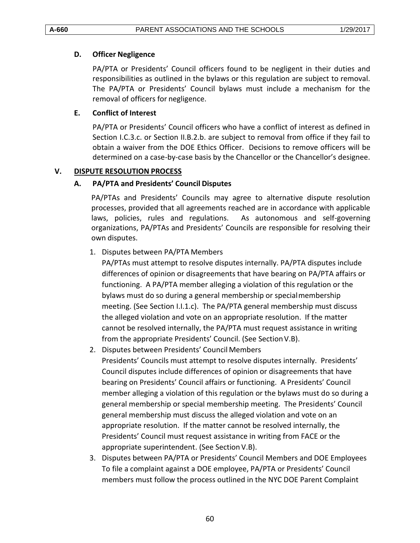### <span id="page-59-1"></span>**D. Officer Negligence**

PA/PTA or Presidents' Council officers found to be negligent in their duties and responsibilities as outlined in the bylaws or this regulation are subject to removal. The PA/PTA or Presidents' Council bylaws must include a mechanism for the removal of officers for negligence.

# <span id="page-59-2"></span>**E. Conflict of Interest**

PA/PTA or Presidents' Council officers who have a conflict of interest as defined in Section I.C.3.c. or Section II.B.2.b. are subject to removal from office if they fail to obtain a waiver from the DOE Ethics Officer. Decisions to remove officers will be determined on a case-by-case basis by the Chancellor or the Chancellor's designee.

## <span id="page-59-3"></span><span id="page-59-0"></span>**V. DISPUTE RESOLUTION PROCESS**

## **A. PA/PTA and Presidents' Council Disputes**

PA/PTAs and Presidents' Councils may agree to alternative dispute resolution processes, provided that all agreements reached are in accordance with applicable laws, policies, rules and regulations. As autonomous and self-governing organizations, PA/PTAs and Presidents' Councils are responsible for resolving their own disputes.

## 1. Disputes between PA/PTA Members

PA/PTAs must attempt to resolve disputes internally. PA/PTA disputes include differences of opinion or disagreements that have bearing on PA/PTA affairs or functioning. A PA/PTA member alleging a violation of this regulation or the bylaws must do so during a general membership or specialmembership meeting. (See Section I.I.1.c). The PA/PTA general membership must discuss the alleged violation and vote on an appropriate resolution. If the matter cannot be resolved internally, the PA/PTA must request assistance in writing from the appropriate Presidents' Council. (See SectionV.B).

2. Disputes between Presidents' Council Members

Presidents' Councils must attempt to resolve disputes internally. Presidents' Council disputes include differences of opinion or disagreements that have bearing on Presidents' Council affairs or functioning. A Presidents' Council member alleging a violation of this regulation or the bylaws must do so during a general membership or special membership meeting. The Presidents' Council general membership must discuss the alleged violation and vote on an appropriate resolution. If the matter cannot be resolved internally, the Presidents' Council must request assistance in writing from FACE or the appropriate superintendent. (See Section V.B).

3. Disputes between PA/PTA or Presidents' Council Members and DOE Employees To file a complaint against a DOE employee, PA/PTA or Presidents' Council members must follow the process outlined in the NYC DOE Parent Complaint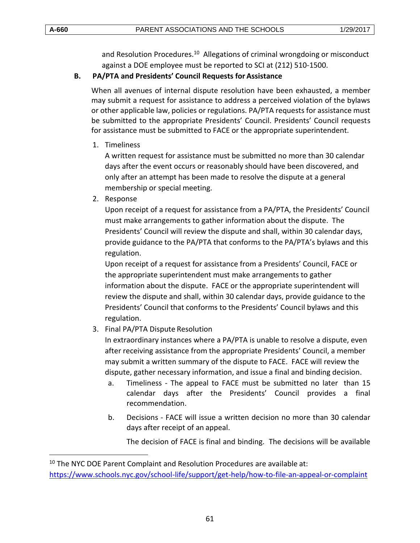$\overline{a}$ 

and Resolution Procedures.<sup>10</sup> Allegations of criminal wrongdoing or misconduct against a DOE employee must be reported to SCI at (212) 510-1500.

#### <span id="page-60-0"></span>**B. PA/PTA and Presidents' Council Requests for Assistance**

When all avenues of internal dispute resolution have been exhausted, a member may submit a request for assistance to address a perceived violation of the bylaws or other applicable law, policies or regulations. PA/PTA requests for assistance must be submitted to the appropriate Presidents' Council. Presidents' Council requests for assistance must be submitted to FACE or the appropriate superintendent.

1. Timeliness

A written request for assistance must be submitted no more than 30 calendar days after the event occurs or reasonably should have been discovered, and only after an attempt has been made to resolve the dispute at a general membership or special meeting.

2. Response

Upon receipt of a request for assistance from a PA/PTA, the Presidents' Council must make arrangements to gather information about the dispute. The Presidents' Council will review the dispute and shall, within 30 calendar days, provide guidance to the PA/PTA that conforms to the PA/PTA's bylaws and this regulation.

Upon receipt of a request for assistance from a Presidents' Council, FACE or the appropriate superintendent must make arrangements to gather information about the dispute. FACE or the appropriate superintendent will review the dispute and shall, within 30 calendar days, provide guidance to the Presidents' Council that conforms to the Presidents' Council bylaws and this regulation.

3. Final PA/PTA Dispute Resolution

In extraordinary instances where a PA/PTA is unable to resolve a dispute, even after receiving assistance from the appropriate Presidents' Council, a member may submit a written summary of the dispute to FACE. FACE will review the dispute, gather necessary information, and issue a final and binding decision.

- a. Timeliness The appeal to FACE must be submitted no later than 15 calendar days after the Presidents' Council provides a final recommendation.
- b. Decisions FACE will issue a written decision no more than 30 calendar days after receipt of an appeal.

The decision of FACE is final and binding. The decisions will be available

<sup>&</sup>lt;sup>10</sup> The NYC DOE Parent Complaint and Resolution Procedures are available at: <https://www.schools.nyc.gov/school-life/support/get-help/how-to-file-an-appeal-or-complaint>